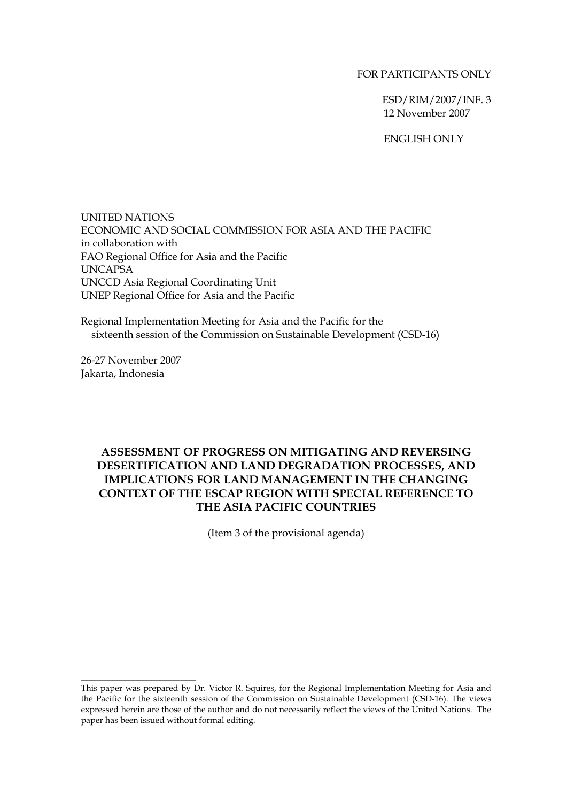#### FOR PARTICIPANTS ONLY

 ESD/RIM/2007/INF. 3 12 November 2007

ENGLISH ONLY

UNITED NATIONS ECONOMIC AND SOCIAL COMMISSION FOR ASIA AND THE PACIFIC in collaboration with FAO Regional Office for Asia and the Pacific UNCAPSA UNCCD Asia Regional Coordinating Unit UNEP Regional Office for Asia and the Pacific

Regional Implementation Meeting for Asia and the Pacific for the sixteenth session of the Commission on Sustainable Development (CSD-16)

26-27 November 2007 Jakarta, Indonesia

\_\_\_\_\_\_\_\_\_\_\_\_\_\_\_\_\_\_\_\_\_\_

## **ASSESSMENT OF PROGRESS ON MITIGATING AND REVERSING DESERTIFICATION AND LAND DEGRADATION PROCESSES, AND IMPLICATIONS FOR LAND MANAGEMENT IN THE CHANGING CONTEXT OF THE ESCAP REGION WITH SPECIAL REFERENCE TO THE ASIA PACIFIC COUNTRIES**

(Item 3 of the provisional agenda)

This paper was prepared by Dr. Victor R. Squires, for the Regional Implementation Meeting for Asia and the Pacific for the sixteenth session of the Commission on Sustainable Development (CSD-16). The views expressed herein are those of the author and do not necessarily reflect the views of the United Nations. The paper has been issued without formal editing.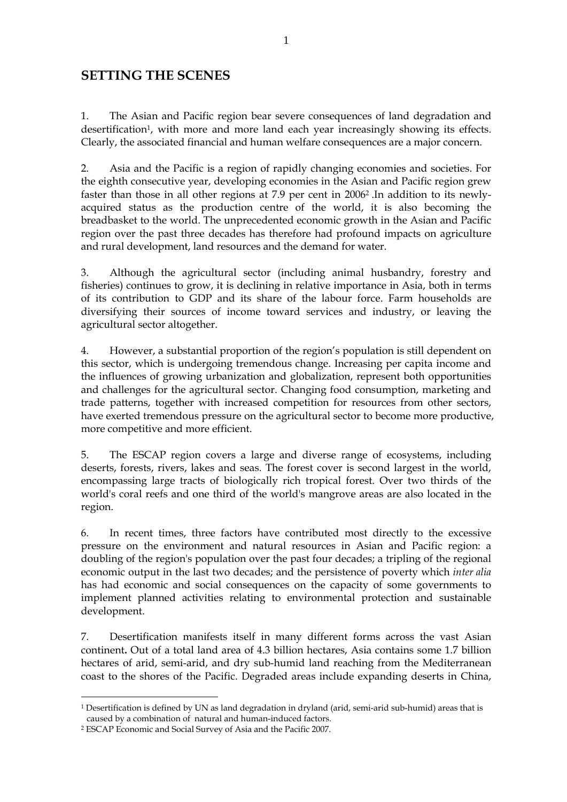## **SETTING THE SCENES**

1. The Asian and Pacific region bear severe consequences of land degradation and desertification<sup>1</sup>, with more and more land each year increasingly showing its effects. Clearly, the associated financial and human welfare consequences are a major concern.

2. Asia and the Pacific is a region of rapidly changing economies and societies. For the eighth consecutive year, developing economies in the Asian and Pacific region grew faster than those in all other regions at 7.9 per cent in 20062 .In addition to its newlyacquired status as the production centre of the world, it is also becoming the breadbasket to the world. The unprecedented economic growth in the Asian and Pacific region over the past three decades has therefore had profound impacts on agriculture and rural development, land resources and the demand for water.

3. Although the agricultural sector (including animal husbandry, forestry and fisheries) continues to grow, it is declining in relative importance in Asia, both in terms of its contribution to GDP and its share of the labour force. Farm households are diversifying their sources of income toward services and industry, or leaving the agricultural sector altogether.

4. However, a substantial proportion of the region's population is still dependent on this sector, which is undergoing tremendous change. Increasing per capita income and the influences of growing urbanization and globalization, represent both opportunities and challenges for the agricultural sector. Changing food consumption, marketing and trade patterns, together with increased competition for resources from other sectors, have exerted tremendous pressure on the agricultural sector to become more productive, more competitive and more efficient.

5. The ESCAP region covers a large and diverse range of ecosystems, including deserts, forests, rivers, lakes and seas. The forest cover is second largest in the world, encompassing large tracts of biologically rich tropical forest. Over two thirds of the world's coral reefs and one third of the world's mangrove areas are also located in the region.

6. In recent times, three factors have contributed most directly to the excessive pressure on the environment and natural resources in Asian and Pacific region: a doubling of the region's population over the past four decades; a tripling of the regional economic output in the last two decades; and the persistence of poverty which *inter alia* has had economic and social consequences on the capacity of some governments to implement planned activities relating to environmental protection and sustainable development.

7. Desertification manifests itself in many different forms across the vast Asian continent**.** Out of a total land area of 4.3 billion hectares, Asia contains some 1.7 billion hectares of arid, semi-arid, and dry sub-humid land reaching from the Mediterranean coast to the shores of the Pacific. Degraded areas include expanding deserts in China,

<sup>1</sup> Desertification is defined by UN as land degradation in dryland (arid, semi-arid sub-humid) areas that is caused by a combination of natural and human-induced factors.

<sup>2</sup> ESCAP Economic and Social Survey of Asia and the Pacific 2007.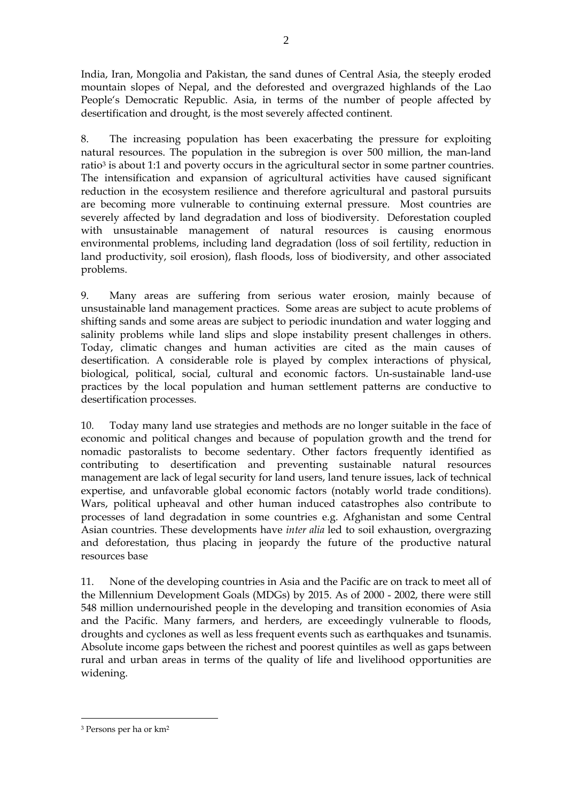India, Iran, Mongolia and Pakistan, the sand dunes of Central Asia, the steeply eroded mountain slopes of Nepal, and the deforested and overgrazed highlands of the Lao People's Democratic Republic. Asia, in terms of the number of people affected by desertification and drought, is the most severely affected continent.

8. The increasing population has been exacerbating the pressure for exploiting natural resources. The population in the subregion is over 500 million, the man-land ratio<sup>3</sup> is about 1:1 and poverty occurs in the agricultural sector in some partner countries. The intensification and expansion of agricultural activities have caused significant reduction in the ecosystem resilience and therefore agricultural and pastoral pursuits are becoming more vulnerable to continuing external pressure. Most countries are severely affected by land degradation and loss of biodiversity. Deforestation coupled with unsustainable management of natural resources is causing enormous environmental problems, including land degradation (loss of soil fertility, reduction in land productivity, soil erosion), flash floods, loss of biodiversity, and other associated problems.

9. Many areas are suffering from serious water erosion, mainly because of unsustainable land management practices. Some areas are subject to acute problems of shifting sands and some areas are subject to periodic inundation and water logging and salinity problems while land slips and slope instability present challenges in others. Today, climatic changes and human activities are cited as the main causes of desertification. A considerable role is played by complex interactions of physical, biological, political, social, cultural and economic factors. Un-sustainable land-use practices by the local population and human settlement patterns are conductive to desertification processes.

10. Today many land use strategies and methods are no longer suitable in the face of economic and political changes and because of population growth and the trend for nomadic pastoralists to become sedentary. Other factors frequently identified as contributing to desertification and preventing sustainable natural resources management are lack of legal security for land users, land tenure issues, lack of technical expertise, and unfavorable global economic factors (notably world trade conditions). Wars, political upheaval and other human induced catastrophes also contribute to processes of land degradation in some countries e.g. Afghanistan and some Central Asian countries. These developments have *inter alia* led to soil exhaustion, overgrazing and deforestation, thus placing in jeopardy the future of the productive natural resources base

11. None of the developing countries in Asia and the Pacific are on track to meet all of the Millennium Development Goals (MDGs) by 2015. As of 2000 - 2002, there were still 548 million undernourished people in the developing and transition economies of Asia and the Pacific. Many farmers, and herders, are exceedingly vulnerable to floods, droughts and cyclones as well as less frequent events such as earthquakes and tsunamis. Absolute income gaps between the richest and poorest quintiles as well as gaps between rural and urban areas in terms of the quality of life and livelihood opportunities are widening.

1

<sup>3</sup> Persons per ha or km2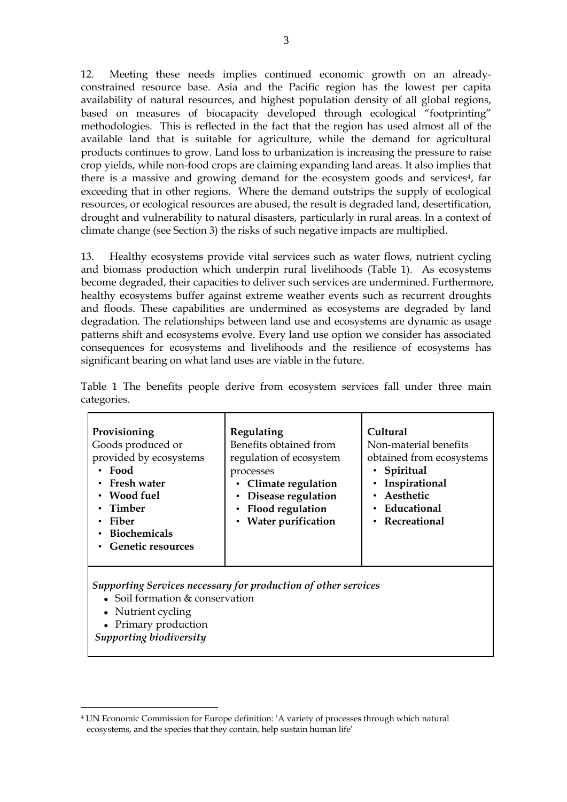12. Meeting these needs implies continued economic growth on an alreadyconstrained resource base. Asia and the Pacific region has the lowest per capita availability of natural resources, and highest population density of all global regions, based on measures of biocapacity developed through ecological "footprinting" methodologies. This is reflected in the fact that the region has used almost all of the available land that is suitable for agriculture, while the demand for agricultural products continues to grow. Land loss to urbanization is increasing the pressure to raise crop yields, while non-food crops are claiming expanding land areas. It also implies that there is a massive and growing demand for the ecosystem goods and services<sup>4</sup>, far exceeding that in other regions. Where the demand outstrips the supply of ecological resources, or ecological resources are abused, the result is degraded land, desertification, drought and vulnerability to natural disasters, particularly in rural areas. In a context of climate change (see Section 3) the risks of such negative impacts are multiplied.

13. Healthy ecosystems provide vital services such as water flows, nutrient cycling and biomass production which underpin rural livelihoods (Table 1). As ecosystems become degraded, their capacities to deliver such services are undermined. Furthermore, healthy ecosystems buffer against extreme weather events such as recurrent droughts and floods. These capabilities are undermined as ecosystems are degraded by land degradation. The relationships between land use and ecosystems are dynamic as usage patterns shift and ecosystems evolve. Every land use option we consider has associated consequences for ecosystems and livelihoods and the resilience of ecosystems has significant bearing on what land uses are viable in the future.

| Provisioning<br>Goods produced or<br>provided by ecosystems<br>Food<br>Fresh water<br>• Wood fuel<br>Timber<br>$\bullet$<br>Fiber<br>٠<br><b>Biochemicals</b><br>$\bullet$<br><b>Genetic resources</b> | Regulating<br>Benefits obtained from<br>regulation of ecosystem<br>processes<br>• Climate regulation<br>Disease regulation<br>• Flood regulation<br><b>Water purification</b> | Cultural<br>Non-material benefits<br>obtained from ecosystems<br>Spiritual<br>Inspirational<br>• Aesthetic<br>• Educational<br>• Recreational |  |
|--------------------------------------------------------------------------------------------------------------------------------------------------------------------------------------------------------|-------------------------------------------------------------------------------------------------------------------------------------------------------------------------------|-----------------------------------------------------------------------------------------------------------------------------------------------|--|
| Supporting Services necessary for production of other services<br>$\overline{a}$ and $\overline{a}$ and $\overline{a}$                                                                                 |                                                                                                                                                                               |                                                                                                                                               |  |

Table 1 The benefits people derive from ecosystem services fall under three main categories.

Soil formation & conservation

• Nutrient cycling

• Primary production

*Supporting biodiversity*

<sup>4</sup> UN Economic Commission for Europe definition: 'A variety of processes through which natural ecosystems, and the species that they contain, help sustain human life'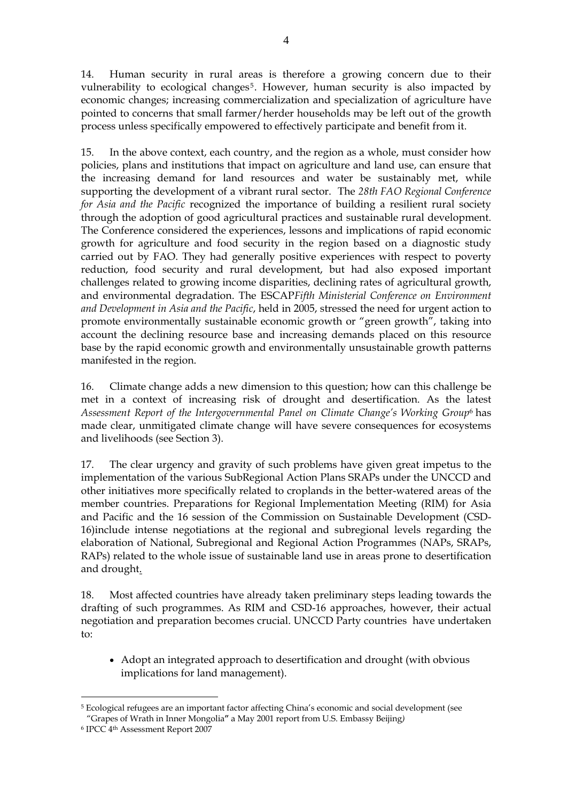14. Human security in rural areas is therefore a growing concern due to their vulnerability to ecological changes<sup>5</sup>. However, human security is also impacted by economic changes; increasing commercialization and specialization of agriculture have pointed to concerns that small farmer/herder households may be left out of the growth process unless specifically empowered to effectively participate and benefit from it.

15. In the above context, each country, and the region as a whole, must consider how policies, plans and institutions that impact on agriculture and land use, can ensure that the increasing demand for land resources and water be sustainably met, while supporting the development of a vibrant rural sector. The *28th FAO Regional Conference for Asia and the Pacific* recognized the importance of building a resilient rural society through the adoption of good agricultural practices and sustainable rural development. The Conference considered the experiences, lessons and implications of rapid economic growth for agriculture and food security in the region based on a diagnostic study carried out by FAO. They had generally positive experiences with respect to poverty reduction, food security and rural development, but had also exposed important challenges related to growing income disparities, declining rates of agricultural growth, and environmental degradation. The ESCAP*Fifth Ministerial Conference on Environment and Development in Asia and the Pacific*, held in 2005, stressed the need for urgent action to promote environmentally sustainable economic growth or "green growth", taking into account the declining resource base and increasing demands placed on this resource base by the rapid economic growth and environmentally unsustainable growth patterns manifested in the region.

16. Climate change adds a new dimension to this question; how can this challenge be met in a context of increasing risk of drought and desertification. As the latest *Assessment Report of the Intergovernmental Panel on Climate Change's Working Group*6 has made clear, unmitigated climate change will have severe consequences for ecosystems and livelihoods (see Section 3).

17. The clear urgency and gravity of such problems have given great impetus to the implementation of the various SubRegional Action Plans SRAPs under the UNCCD and other initiatives more specifically related to croplands in the better-watered areas of the member countries. Preparations for Regional Implementation Meeting (RIM) for Asia and Pacific and the 16 session of the Commission on Sustainable Development (CSD-16)include intense negotiations at the regional and subregional levels regarding the elaboration of National, Subregional and Regional Action Programmes (NAPs, SRAPs, RAPs) related to the whole issue of sustainable land use in areas prone to desertification and drought.

18. Most affected countries have already taken preliminary steps leading towards the drafting of such programmes. As RIM and CSD-16 approaches, however, their actual negotiation and preparation becomes crucial. UNCCD Party countries have undertaken to:

• Adopt an integrated approach to desertification and drought (with obvious implications for land management).

<sup>5</sup> Ecological refugees are an important factor affecting China's economic and social development (see "Grapes of Wrath in Inner Mongolia**"** a May 2001 report from U.S. Embassy Beijing*)*

<sup>6</sup> IPCC 4th Assessment Report 2007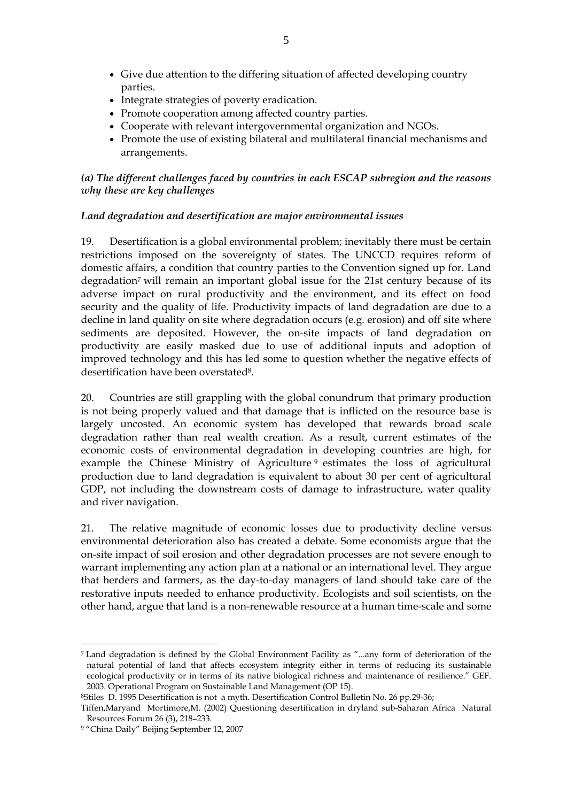- Give due attention to the differing situation of affected developing country parties.
- Integrate strategies of poverty eradication.
- Promote cooperation among affected country parties.
- Cooperate with relevant intergovernmental organization and NGOs.
- Promote the use of existing bilateral and multilateral financial mechanisms and arrangements.

## *(a) The different challenges faced by countries in each ESCAP subregion and the reasons why these are key challenges*

## *Land degradation and desertification are major environmental issues*

19. Desertification is a global environmental problem; inevitably there must be certain restrictions imposed on the sovereignty of states. The UNCCD requires reform of domestic affairs, a condition that country parties to the Convention signed up for. Land degradation<sup>7</sup> will remain an important global issue for the 21st century because of its adverse impact on rural productivity and the environment, and its effect on food security and the quality of life. Productivity impacts of land degradation are due to a decline in land quality on site where degradation occurs (e.g. erosion) and off site where sediments are deposited. However, the on-site impacts of land degradation on productivity are easily masked due to use of additional inputs and adoption of improved technology and this has led some to question whether the negative effects of desertification have been overstated<sup>8</sup>.

20. Countries are still grappling with the global conundrum that primary production is not being properly valued and that damage that is inflicted on the resource base is largely uncosted. An economic system has developed that rewards broad scale degradation rather than real wealth creation. As a result, current estimates of the economic costs of environmental degradation in developing countries are high, for example the Chinese Ministry of Agriculture<sup>9</sup> estimates the loss of agricultural production due to land degradation is equivalent to about 30 per cent of agricultural GDP, not including the downstream costs of damage to infrastructure, water quality and river navigation.

21. The relative magnitude of economic losses due to productivity decline versus environmental deterioration also has created a debate. Some economists argue that the on-site impact of soil erosion and other degradation processes are not severe enough to warrant implementing any action plan at a national or an international level. They argue that herders and farmers, as the day-to-day managers of land should take care of the restorative inputs needed to enhance productivity. Ecologists and soil scientists, on the other hand, argue that land is a non-renewable resource at a human time-scale and some

<sup>7</sup> Land degradation is defined by the Global Environment Facility as "...any form of deterioration of the natural potential of land that affects ecosystem integrity either in terms of reducing its sustainable ecological productivity or in terms of its native biological richness and maintenance of resilience." GEF. 2003. Operational Program on Sustainable Land Management (OP 15).

<sup>8</sup>Stiles D. 1995 Desertification is not a myth. Desertification Control Bulletin No. 26 pp.29-36;

Tiffen,Maryand Mortimore,M. (2002) Questioning desertification in dryland sub-Saharan Africa Natural Resources Forum 26 (3), 218–233.

<sup>9 &</sup>quot;China Daily" Beijing September 12, 2007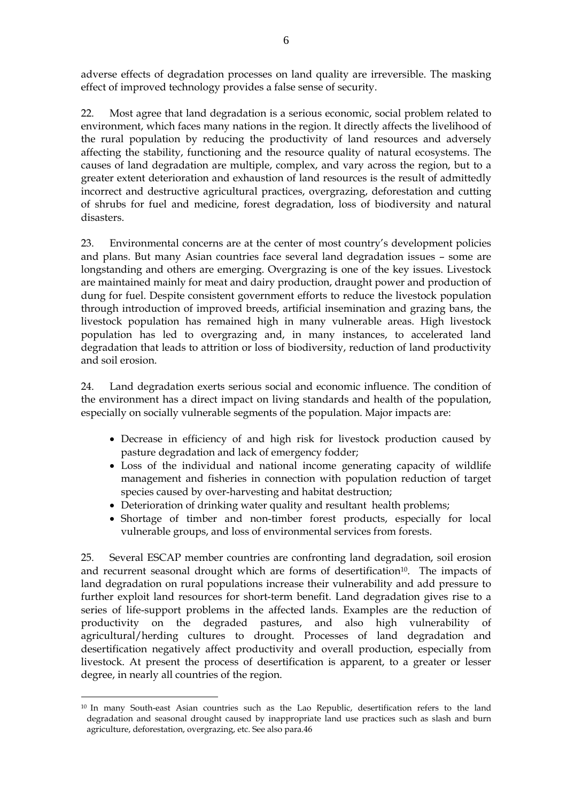adverse effects of degradation processes on land quality are irreversible. The masking effect of improved technology provides a false sense of security.

22. Most agree that land degradation is a serious economic, social problem related to environment, which faces many nations in the region. It directly affects the livelihood of the rural population by reducing the productivity of land resources and adversely affecting the stability, functioning and the resource quality of natural ecosystems. The causes of land degradation are multiple, complex, and vary across the region, but to a greater extent deterioration and exhaustion of land resources is the result of admittedly incorrect and destructive agricultural practices, overgrazing, deforestation and cutting of shrubs for fuel and medicine, forest degradation, loss of biodiversity and natural disasters.

23. Environmental concerns are at the center of most country's development policies and plans. But many Asian countries face several land degradation issues – some are longstanding and others are emerging. Overgrazing is one of the key issues. Livestock are maintained mainly for meat and dairy production, draught power and production of dung for fuel. Despite consistent government efforts to reduce the livestock population through introduction of improved breeds, artificial insemination and grazing bans, the livestock population has remained high in many vulnerable areas. High livestock population has led to overgrazing and, in many instances, to accelerated land degradation that leads to attrition or loss of biodiversity, reduction of land productivity and soil erosion.

24. Land degradation exerts serious social and economic influence. The condition of the environment has a direct impact on living standards and health of the population, especially on socially vulnerable segments of the population. Major impacts are:

- Decrease in efficiency of and high risk for livestock production caused by pasture degradation and lack of emergency fodder;
- Loss of the individual and national income generating capacity of wildlife management and fisheries in connection with population reduction of target species caused by over-harvesting and habitat destruction;
- Deterioration of drinking water quality and resultant health problems;
- Shortage of timber and non-timber forest products, especially for local vulnerable groups, and loss of environmental services from forests.

25. Several ESCAP member countries are confronting land degradation, soil erosion and recurrent seasonal drought which are forms of desertification<sup>10</sup>. The impacts of land degradation on rural populations increase their vulnerability and add pressure to further exploit land resources for short-term benefit. Land degradation gives rise to a series of life-support problems in the affected lands. Examples are the reduction of productivity on the degraded pastures, and also high vulnerability of agricultural/herding cultures to drought. Processes of land degradation and desertification negatively affect productivity and overall production, especially from livestock. At present the process of desertification is apparent, to a greater or lesser degree, in nearly all countries of the region.

<sup>10</sup> In many South-east Asian countries such as the Lao Republic, desertification refers to the land degradation and seasonal drought caused by inappropriate land use practices such as slash and burn agriculture, deforestation, overgrazing, etc. See also para.46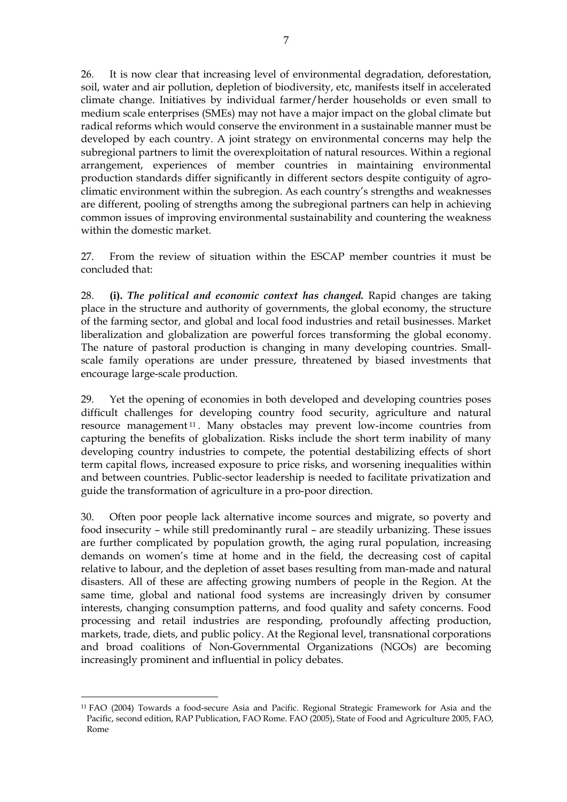26. It is now clear that increasing level of environmental degradation, deforestation, soil, water and air pollution, depletion of biodiversity, etc, manifests itself in accelerated climate change. Initiatives by individual farmer/herder households or even small to medium scale enterprises (SMEs) may not have a major impact on the global climate but radical reforms which would conserve the environment in a sustainable manner must be developed by each country. A joint strategy on environmental concerns may help the subregional partners to limit the overexploitation of natural resources. Within a regional arrangement, experiences of member countries in maintaining environmental production standards differ significantly in different sectors despite contiguity of agroclimatic environment within the subregion. As each country's strengths and weaknesses are different, pooling of strengths among the subregional partners can help in achieving common issues of improving environmental sustainability and countering the weakness within the domestic market.

27. From the review of situation within the ESCAP member countries it must be concluded that:

28. **(i).** *The political and economic context has changed.* Rapid changes are taking place in the structure and authority of governments, the global economy, the structure of the farming sector, and global and local food industries and retail businesses. Market liberalization and globalization are powerful forces transforming the global economy. The nature of pastoral production is changing in many developing countries. Smallscale family operations are under pressure, threatened by biased investments that encourage large-scale production.

29. Yet the opening of economies in both developed and developing countries poses difficult challenges for developing country food security, agriculture and natural resource management <sup>11</sup> . Many obstacles may prevent low-income countries from capturing the benefits of globalization. Risks include the short term inability of many developing country industries to compete, the potential destabilizing effects of short term capital flows, increased exposure to price risks, and worsening inequalities within and between countries. Public-sector leadership is needed to facilitate privatization and guide the transformation of agriculture in a pro-poor direction.

30. Often poor people lack alternative income sources and migrate, so poverty and food insecurity – while still predominantly rural – are steadily urbanizing. These issues are further complicated by population growth, the aging rural population, increasing demands on women's time at home and in the field, the decreasing cost of capital relative to labour, and the depletion of asset bases resulting from man-made and natural disasters. All of these are affecting growing numbers of people in the Region. At the same time, global and national food systems are increasingly driven by consumer interests, changing consumption patterns, and food quality and safety concerns. Food processing and retail industries are responding, profoundly affecting production, markets, trade, diets, and public policy. At the Regional level, transnational corporations and broad coalitions of Non-Governmental Organizations (NGOs) are becoming increasingly prominent and influential in policy debates.

<sup>11</sup> FAO (2004) Towards a food-secure Asia and Pacific. Regional Strategic Framework for Asia and the Pacific, second edition, RAP Publication, FAO Rome. FAO (2005), State of Food and Agriculture 2005, FAO, Rome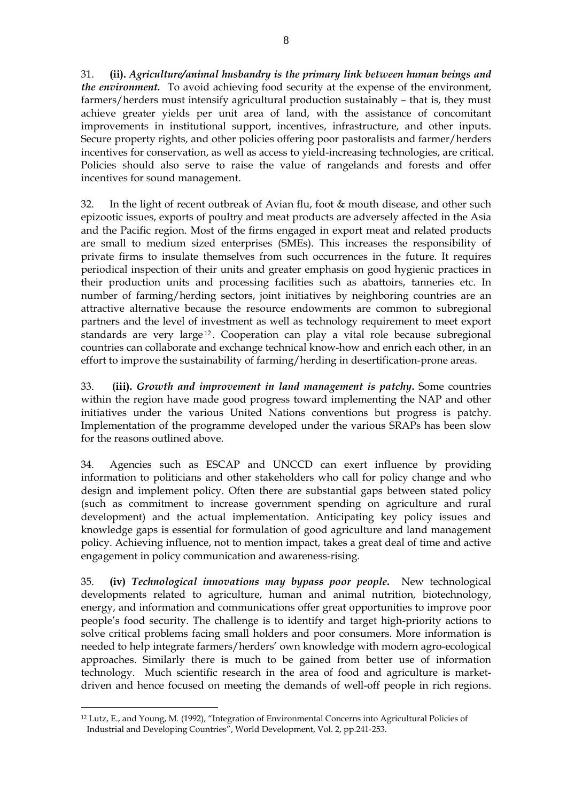farmers/herders must intensify agricultural production sustainably – that is, they must achieve greater yields per unit area of land, with the assistance of concomitant improvements in institutional support, incentives, infrastructure, and other inputs. Secure property rights, and other policies offering poor pastoralists and farmer/herders incentives for conservation, as well as access to yield-increasing technologies, are critical. Policies should also serve to raise the value of rangelands and forests and offer incentives for sound management.

32. In the light of recent outbreak of Avian flu, foot & mouth disease, and other such epizootic issues, exports of poultry and meat products are adversely affected in the Asia and the Pacific region. Most of the firms engaged in export meat and related products are small to medium sized enterprises (SMEs). This increases the responsibility of private firms to insulate themselves from such occurrences in the future. It requires periodical inspection of their units and greater emphasis on good hygienic practices in their production units and processing facilities such as abattoirs, tanneries etc. In number of farming/herding sectors, joint initiatives by neighboring countries are an attractive alternative because the resource endowments are common to subregional partners and the level of investment as well as technology requirement to meet export standards are very large<sup>12</sup>. Cooperation can play a vital role because subregional countries can collaborate and exchange technical know-how and enrich each other, in an effort to improve the sustainability of farming/herding in desertification-prone areas.

33. **(iii).** *Growth and improvement in land management is patchy***.** Some countries within the region have made good progress toward implementing the NAP and other initiatives under the various United Nations conventions but progress is patchy. Implementation of the programme developed under the various SRAPs has been slow for the reasons outlined above.

34. Agencies such as ESCAP and UNCCD can exert influence by providing information to politicians and other stakeholders who call for policy change and who design and implement policy. Often there are substantial gaps between stated policy (such as commitment to increase government spending on agriculture and rural development) and the actual implementation. Anticipating key policy issues and knowledge gaps is essential for formulation of good agriculture and land management policy. Achieving influence, not to mention impact, takes a great deal of time and active engagement in policy communication and awareness-rising.

35. **(iv)** *Technological innovations may bypass poor people***.** New technological developments related to agriculture, human and animal nutrition, biotechnology, energy, and information and communications offer great opportunities to improve poor people's food security. The challenge is to identify and target high-priority actions to solve critical problems facing small holders and poor consumers. More information is needed to help integrate farmers/herders' own knowledge with modern agro-ecological approaches. Similarly there is much to be gained from better use of information technology. Much scientific research in the area of food and agriculture is marketdriven and hence focused on meeting the demands of well-off people in rich regions.

<sup>&</sup>lt;u>.</u> 12 Lutz, E., and Young, M. (1992), "Integration of Environmental Concerns into Agricultural Policies of Industrial and Developing Countries", World Development, Vol. 2, pp.241-253.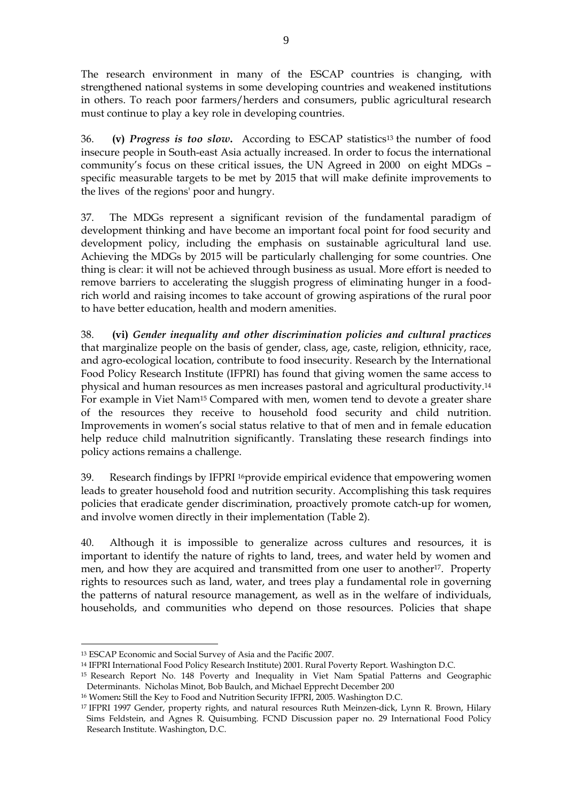The research environment in many of the ESCAP countries is changing, with strengthened national systems in some developing countries and weakened institutions in others. To reach poor farmers/herders and consumers, public agricultural research must continue to play a key role in developing countries.

36. **(v)** *Progress is too slow***.** According to ESCAP statistics13 the number of food insecure people in South-east Asia actually increased. In order to focus the international community's focus on these critical issues, the UN Agreed in 2000 on eight MDGs – specific measurable targets to be met by 2015 that will make definite improvements to the lives of the regions' poor and hungry.

37. The MDGs represent a significant revision of the fundamental paradigm of development thinking and have become an important focal point for food security and development policy, including the emphasis on sustainable agricultural land use. Achieving the MDGs by 2015 will be particularly challenging for some countries. One thing is clear: it will not be achieved through business as usual. More effort is needed to remove barriers to accelerating the sluggish progress of eliminating hunger in a foodrich world and raising incomes to take account of growing aspirations of the rural poor to have better education, health and modern amenities.

38. **(vi)** *Gender inequality and other discrimination policies and cultural practices*  that marginalize people on the basis of gender, class, age, caste, religion, ethnicity, race, and agro-ecological location, contribute to food insecurity. Research by the International Food Policy Research Institute (IFPRI) has found that giving women the same access to physical and human resources as men increases pastoral and agricultural productivity.14 For example in Viet Nam15 Compared with men, women tend to devote a greater share of the resources they receive to household food security and child nutrition. Improvements in women's social status relative to that of men and in female education help reduce child malnutrition significantly. Translating these research findings into policy actions remains a challenge.

39. Research findings by IFPRI 16provide empirical evidence that empowering women leads to greater household food and nutrition security. Accomplishing this task requires policies that eradicate gender discrimination, proactively promote catch-up for women, and involve women directly in their implementation (Table 2).

40. Although it is impossible to generalize across cultures and resources, it is important to identify the nature of rights to land, trees, and water held by women and men, and how they are acquired and transmitted from one user to another<sup>17</sup>. Property rights to resources such as land, water, and trees play a fundamental role in governing the patterns of natural resource management, as well as in the welfare of individuals, households, and communities who depend on those resources. Policies that shape

<sup>13</sup> ESCAP Economic and Social Survey of Asia and the Pacific 2007.

<sup>14</sup> IFPRI International Food Policy Research Institute) 2001. Rural Poverty Report. Washington D.C.

<sup>15</sup> Research Report No. 148 Poverty and Inequality in Viet Nam Spatial Patterns and Geographic Determinants. Nicholas Minot, Bob Baulch, and Michael Epprecht December 200

<sup>16</sup> Women**:** Still the Key to Food and Nutrition Security IFPRI, 2005. Washington D.C.

<sup>17</sup> IFPRI 1997 Gender, property rights, and natural resources Ruth Meinzen-dick, Lynn R. Brown, Hilary Sims Feldstein, and Agnes R. Quisumbing. FCND Discussion paper no. 29 International Food Policy Research Institute. Washington, D.C.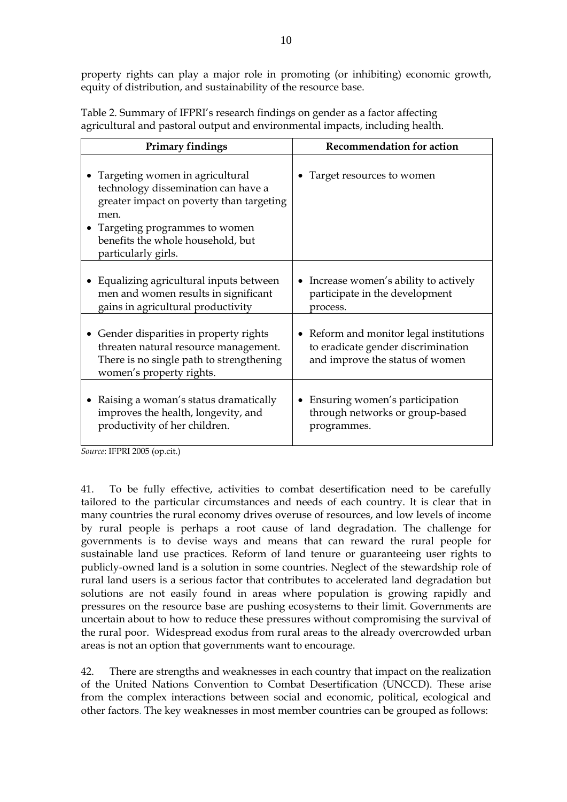property rights can play a major role in promoting (or inhibiting) economic growth, equity of distribution, and sustainability of the resource base.

| Primary findings                                                                                                                                                                                                        | <b>Recommendation for action</b>                                                                                 |
|-------------------------------------------------------------------------------------------------------------------------------------------------------------------------------------------------------------------------|------------------------------------------------------------------------------------------------------------------|
| Targeting women in agricultural<br>technology dissemination can have a<br>greater impact on poverty than targeting<br>men.<br>Targeting programmes to women<br>benefits the whole household, but<br>particularly girls. | Target resources to women                                                                                        |
| Equalizing agricultural inputs between<br>men and women results in significant<br>gains in agricultural productivity                                                                                                    | Increase women's ability to actively<br>participate in the development<br>process.                               |
| • Gender disparities in property rights<br>threaten natural resource management.<br>There is no single path to strengthening<br>women's property rights.                                                                | • Reform and monitor legal institutions<br>to eradicate gender discrimination<br>and improve the status of women |
| Raising a woman's status dramatically<br>$\bullet$<br>improves the health, longevity, and<br>productivity of her children.                                                                                              | Ensuring women's participation<br>$\bullet$<br>through networks or group-based<br>programmes.                    |

Table 2. Summary of IFPRI's research findings on gender as a factor affecting agricultural and pastoral output and environmental impacts, including health.

*Source*: IFPRI 2005 (op.cit.)

41. To be fully effective, activities to combat desertification need to be carefully tailored to the particular circumstances and needs of each country. It is clear that in many countries the rural economy drives overuse of resources, and low levels of income by rural people is perhaps a root cause of land degradation. The challenge for governments is to devise ways and means that can reward the rural people for sustainable land use practices. Reform of land tenure or guaranteeing user rights to publicly-owned land is a solution in some countries. Neglect of the stewardship role of rural land users is a serious factor that contributes to accelerated land degradation but solutions are not easily found in areas where population is growing rapidly and pressures on the resource base are pushing ecosystems to their limit. Governments are uncertain about to how to reduce these pressures without compromising the survival of the rural poor. Widespread exodus from rural areas to the already overcrowded urban areas is not an option that governments want to encourage.

42. There are strengths and weaknesses in each country that impact on the realization of the United Nations Convention to Combat Desertification (UNCCD). These arise from the complex interactions between social and economic, political, ecological and other factors. The key weaknesses in most member countries can be grouped as follows: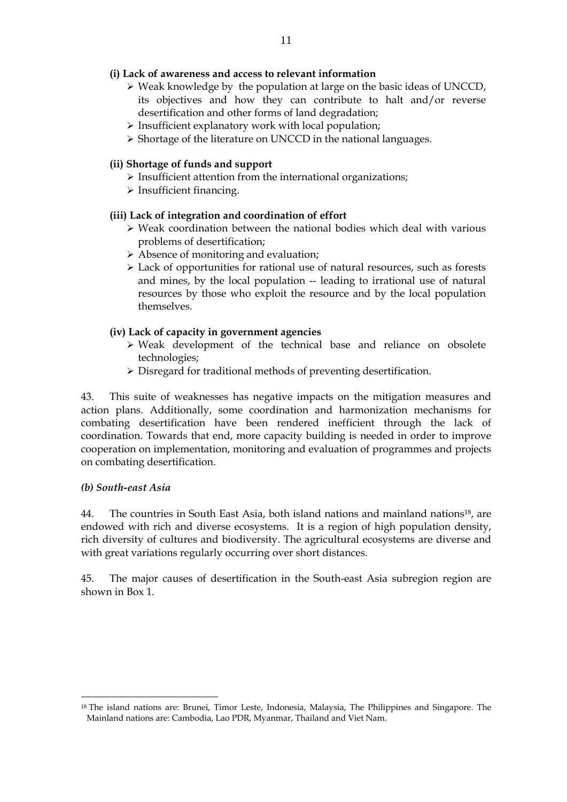#### **(i) Lack of awareness and access to relevant information**

- ¾ Weak knowledge by the population at large on the basic ideas of UNCCD, its objectives and how they can contribute to halt and/or reverse desertification and other forms of land degradation;
- $\triangleright$  Insufficient explanatory work with local population;
- $\triangleright$  Shortage of the literature on UNCCD in the national languages.

#### **(ii) Shortage of funds and support**

- $\triangleright$  Insufficient attention from the international organizations;
- $\triangleright$  Insufficient financing.

#### **(iii) Lack of integration and coordination of effort**

- ¾ Weak coordination between the national bodies which deal with various problems of desertification;
- ¾ Absence of monitoring and evaluation;
- $\triangleright$  Lack of opportunities for rational use of natural resources, such as forests and mines, by the local population -- leading to irrational use of natural resources by those who exploit the resource and by the local population themselves.

#### **(iv) Lack of capacity in government agencies**

- $\triangleright$  Weak development of the technical base and reliance on obsolete technologies;
- ¾ Disregard for traditional methods of preventing desertification.

43. This suite of weaknesses has negative impacts on the mitigation measures and action plans. Additionally, some coordination and harmonization mechanisms for combating desertification have been rendered inefficient through the lack of coordination. Towards that end, more capacity building is needed in order to improve cooperation on implementation, monitoring and evaluation of programmes and projects on combating desertification.

#### *(b) South-east Asia*

1

44. The countries in South East Asia, both island nations and mainland nations<sup>18</sup>, are endowed with rich and diverse ecosystems. It is a region of high population density, rich diversity of cultures and biodiversity. The agricultural ecosystems are diverse and with great variations regularly occurring over short distances.

45. The major causes of desertification in the South-east Asia subregion region are shown in Box 1.

<sup>&</sup>lt;sup>18</sup> The island nations are: Brunei, Timor Leste, Indonesia, Malaysia, The Philippines and Singapore. The Mainland nations are: Cambodia, Lao PDR, Myanmar, Thailand and Viet Nam.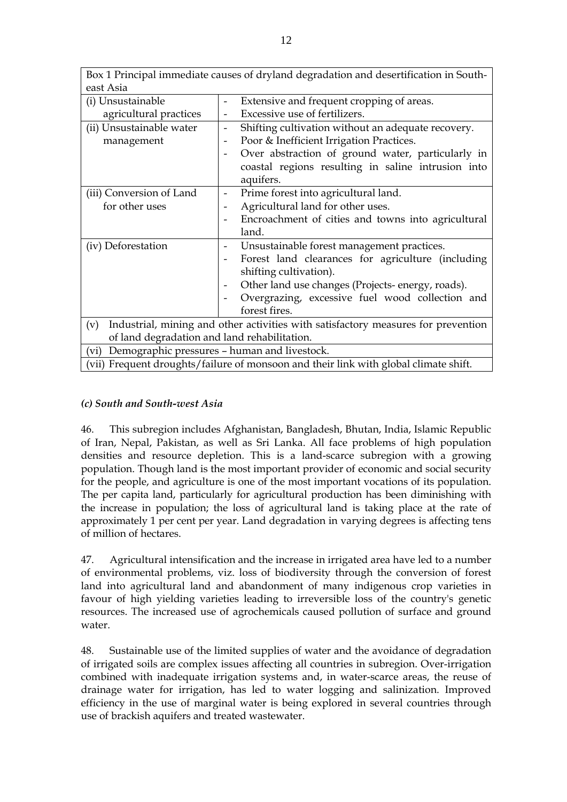| east Asia                                    | DOX 1 1 Inicipal intinculate causes of uryunity degradation and descrimeation in Douth |
|----------------------------------------------|----------------------------------------------------------------------------------------|
|                                              |                                                                                        |
| (i) Unsustainable                            | Extensive and frequent cropping of areas.<br>$\overline{\phantom{0}}$                  |
| agricultural practices                       | Excessive use of fertilizers.                                                          |
| (ii) Unsustainable water                     | Shifting cultivation without an adequate recovery.<br>$\overline{\phantom{a}}$         |
| management                                   | Poor & Inefficient Irrigation Practices.<br>$\overline{\phantom{0}}$                   |
|                                              | Over abstraction of ground water, particularly in<br>-                                 |
|                                              | coastal regions resulting in saline intrusion into                                     |
|                                              | aquifers.                                                                              |
| (iii) Conversion of Land                     | Prime forest into agricultural land.                                                   |
| for other uses                               | Agricultural land for other uses.                                                      |
|                                              | Encroachment of cities and towns into agricultural<br>-                                |
|                                              | land.                                                                                  |
| (iv) Deforestation                           | Unsustainable forest management practices.                                             |
|                                              | Forest land clearances for agriculture (including<br>$\overline{\phantom{a}}$          |
|                                              | shifting cultivation).                                                                 |
|                                              | Other land use changes (Projects-energy, roads).                                       |
|                                              | Overgrazing, excessive fuel wood collection and                                        |
|                                              | forest fires.                                                                          |
| (v)                                          | Industrial, mining and other activities with satisfactory measures for prevention      |
| of land degradation and land rehabilitation. |                                                                                        |
| (vi)                                         | Demographic pressures - human and livestock.                                           |
| (vii)                                        | Frequent droughts/failure of monsoon and their link with global climate shift.         |

Box 1 Principal immediate causes of dryland degradation and desertification in South-

## *(c) South and South-west Asia*

46. This subregion includes Afghanistan, Bangladesh, Bhutan, India, Islamic Republic of Iran, Nepal, Pakistan, as well as Sri Lanka. All face problems of high population densities and resource depletion. This is a land-scarce subregion with a growing population. Though land is the most important provider of economic and social security for the people, and agriculture is one of the most important vocations of its population. The per capita land, particularly for agricultural production has been diminishing with the increase in population; the loss of agricultural land is taking place at the rate of approximately 1 per cent per year. Land degradation in varying degrees is affecting tens of million of hectares.

47. Agricultural intensification and the increase in irrigated area have led to a number of environmental problems, viz. loss of biodiversity through the conversion of forest land into agricultural land and abandonment of many indigenous crop varieties in favour of high yielding varieties leading to irreversible loss of the country's genetic resources. The increased use of agrochemicals caused pollution of surface and ground water.

48. Sustainable use of the limited supplies of water and the avoidance of degradation of irrigated soils are complex issues affecting all countries in subregion. Over-irrigation combined with inadequate irrigation systems and, in water-scarce areas, the reuse of drainage water for irrigation, has led to water logging and salinization. Improved efficiency in the use of marginal water is being explored in several countries through use of brackish aquifers and treated wastewater.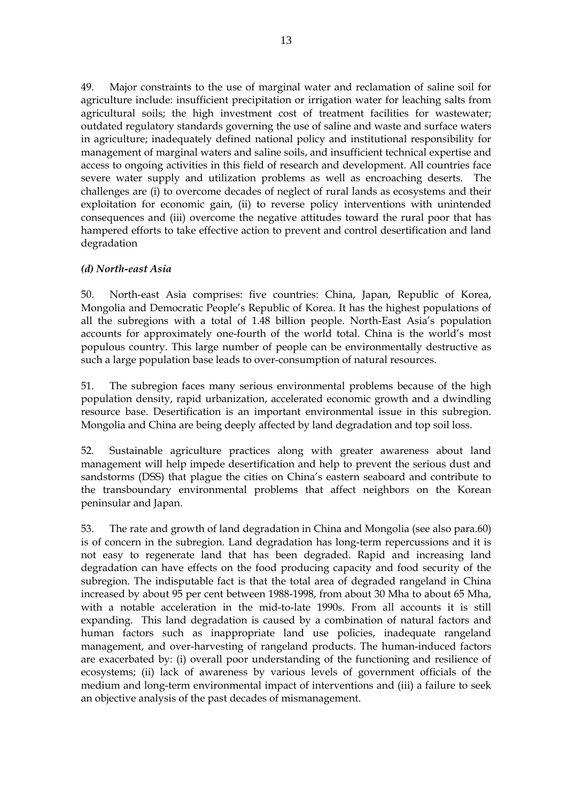49. Major constraints to the use of marginal water and reclamation of saline soil for agriculture include: insufficient precipitation or irrigation water for leaching salts from agricultural soils; the high investment cost of treatment facilities for wastewater; outdated regulatory standards governing the use of saline and waste and surface waters in agriculture; inadequately defined national policy and institutional responsibility for management of marginal waters and saline soils, and insufficient technical expertise and access to ongoing activities in this field of research and development. All countries face severe water supply and utilization problems as well as encroaching deserts. The challenges are (i) to overcome decades of neglect of rural lands as ecosystems and their exploitation for economic gain, (ii) to reverse policy interventions with unintended consequences and (iii) overcome the negative attitudes toward the rural poor that has hampered efforts to take effective action to prevent and control desertification and land degradation

## *(d) North-east Asia*

50. North-east Asia comprises: five countries: China, Japan, Republic of Korea, Mongolia and Democratic People's Republic of Korea. It has the highest populations of all the subregions with a total of 1.48 billion people. North-East Asia's population accounts for approximately one-fourth of the world total. China is the world's most populous country. This large number of people can be environmentally destructive as such a large population base leads to over-consumption of natural resources.

51. The subregion faces many serious environmental problems because of the high population density, rapid urbanization, accelerated economic growth and a dwindling resource base. Desertification is an important environmental issue in this subregion. Mongolia and China are being deeply affected by land degradation and top soil loss.

52. Sustainable agriculture practices along with greater awareness about land management will help impede desertification and help to prevent the serious dust and sandstorms (DSS) that plague the cities on China's eastern seaboard and contribute to the transboundary environmental problems that affect neighbors on the Korean peninsular and Japan.

53. The rate and growth of land degradation in China and Mongolia (see also para.60) is of concern in the subregion. Land degradation has long-term repercussions and it is not easy to regenerate land that has been degraded. Rapid and increasing land degradation can have effects on the food producing capacity and food security of the subregion. The indisputable fact is that the total area of degraded rangeland in China increased by about 95 per cent between 1988-1998, from about 30 Mha to about 65 Mha, with a notable acceleration in the mid-to-late 1990s. From all accounts it is still expanding. This land degradation is caused by a combination of natural factors and human factors such as inappropriate land use policies, inadequate rangeland management, and over-harvesting of rangeland products. The human-induced factors are exacerbated by: (i) overall poor understanding of the functioning and resilience of ecosystems; (ii) lack of awareness by various levels of government officials of the medium and long-term environmental impact of interventions and (iii) a failure to seek an objective analysis of the past decades of mismanagement.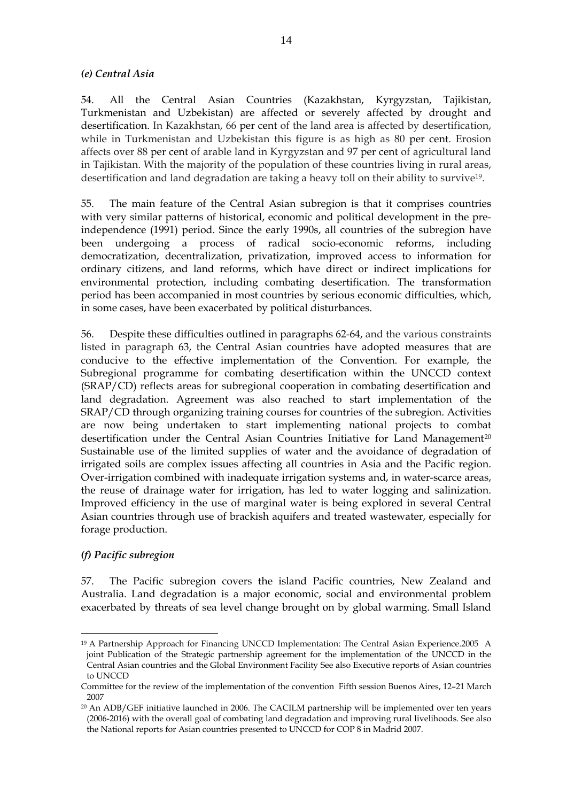#### *(e) Central Asia*

54. All the Central Asian Countries (Kazakhstan, Kyrgyzstan, Tajikistan, Turkmenistan and Uzbekistan) are affected or severely affected by drought and desertification. In Kazakhstan, 66 per cent of the land area is affected by desertification, while in Turkmenistan and Uzbekistan this figure is as high as 80 per cent. Erosion affects over 88 per cent of arable land in Kyrgyzstan and 97 per cent of agricultural land in Tajikistan. With the majority of the population of these countries living in rural areas, desertification and land degradation are taking a heavy toll on their ability to survive19.

55. The main feature of the Central Asian subregion is that it comprises countries with very similar patterns of historical, economic and political development in the preindependence (1991) period. Since the early 1990s, all countries of the subregion have been undergoing a process of radical socio-economic reforms, including democratization, decentralization, privatization, improved access to information for ordinary citizens, and land reforms, which have direct or indirect implications for environmental protection, including combating desertification. The transformation period has been accompanied in most countries by serious economic difficulties, which, in some cases, have been exacerbated by political disturbances.

56. Despite these difficulties outlined in paragraphs 62-64, and the various constraints listed in paragraph 63, the Central Asian countries have adopted measures that are conducive to the effective implementation of the Convention. For example, the Subregional programme for combating desertification within the UNCCD context (SRAP/CD) reflects areas for subregional cooperation in combating desertification and land degradation. Agreement was also reached to start implementation of the SRAP/CD through organizing training courses for countries of the subregion. Activities are now being undertaken to start implementing national projects to combat desertification under the Central Asian Countries Initiative for Land Management<sup>20</sup> Sustainable use of the limited supplies of water and the avoidance of degradation of irrigated soils are complex issues affecting all countries in Asia and the Pacific region. Over-irrigation combined with inadequate irrigation systems and, in water-scarce areas, the reuse of drainage water for irrigation, has led to water logging and salinization. Improved efficiency in the use of marginal water is being explored in several Central Asian countries through use of brackish aquifers and treated wastewater, especially for forage production.

## *(f) Pacific subregion*

<u>.</u>

57. The Pacific subregion covers the island Pacific countries, New Zealand and Australia. Land degradation is a major economic, social and environmental problem exacerbated by threats of sea level change brought on by global warming. Small Island

<sup>19</sup> A Partnership Approach for Financing UNCCD Implementation: The Central Asian Experience.2005 A joint Publication of the Strategic partnership agreement for the implementation of the UNCCD in the Central Asian countries and the Global Environment Facility See also Executive reports of Asian countries to UNCCD

Committee for the review of the implementation of the convention Fifth session Buenos Aires, 12–21 March 2007

<sup>20</sup> An ADB/GEF initiative launched in 2006. The CACILM partnership will be implemented over ten years (2006-2016) with the overall goal of combating land degradation and improving rural livelihoods. See also the National reports for Asian countries presented to UNCCD for COP 8 in Madrid 2007.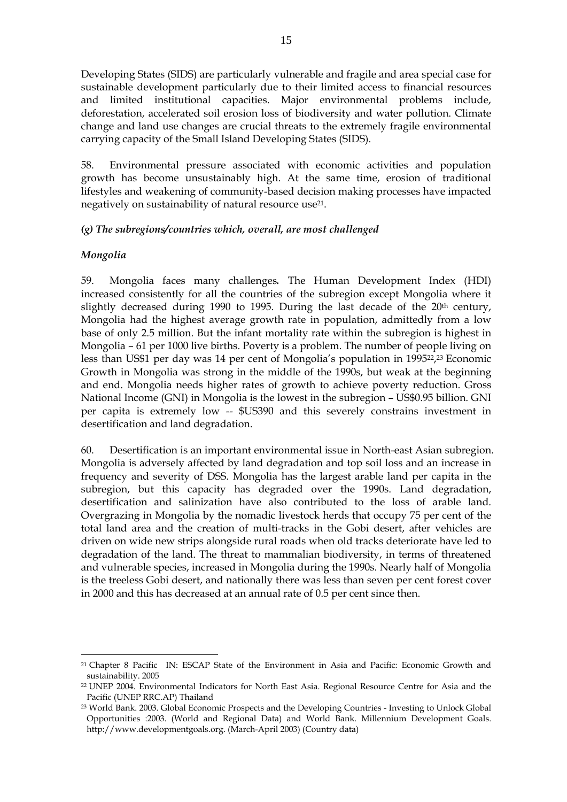Developing States (SIDS) are particularly vulnerable and fragile and area special case for sustainable development particularly due to their limited access to financial resources and limited institutional capacities. Major environmental problems include, deforestation, accelerated soil erosion loss of biodiversity and water pollution. Climate change and land use changes are crucial threats to the extremely fragile environmental carrying capacity of the Small Island Developing States (SIDS).

58. Environmental pressure associated with economic activities and population growth has become unsustainably high. At the same time, erosion of traditional lifestyles and weakening of community-based decision making processes have impacted negatively on sustainability of natural resource use<sup>21</sup>.

## *(g) The subregions/countries which, overall, are most challenged*

## *Mongolia*

1

59. Mongolia faces many challenges*.* The Human Development Index (HDI) increased consistently for all the countries of the subregion except Mongolia where it slightly decreased during 1990 to 1995. During the last decade of the 20<sup>th</sup> century, Mongolia had the highest average growth rate in population, admittedly from a low base of only 2.5 million. But the infant mortality rate within the subregion is highest in Mongolia – 61 per 1000 live births. Poverty is a problem. The number of people living on less than US\$1 per day was 14 per cent of Mongolia's population in 1995<sup>22</sup>,<sup>23</sup> Economic Growth in Mongolia was strong in the middle of the 1990s, but weak at the beginning and end. Mongolia needs higher rates of growth to achieve poverty reduction. Gross National Income (GNI) in Mongolia is the lowest in the subregion – US\$0.95 billion. GNI per capita is extremely low -- \$US390 and this severely constrains investment in desertification and land degradation.

60. Desertification is an important environmental issue in North-east Asian subregion. Mongolia is adversely affected by land degradation and top soil loss and an increase in frequency and severity of DSS. Mongolia has the largest arable land per capita in the subregion, but this capacity has degraded over the 1990s. Land degradation, desertification and salinization have also contributed to the loss of arable land. Overgrazing in Mongolia by the nomadic livestock herds that occupy 75 per cent of the total land area and the creation of multi-tracks in the Gobi desert, after vehicles are driven on wide new strips alongside rural roads when old tracks deteriorate have led to degradation of the land. The threat to mammalian biodiversity, in terms of threatened and vulnerable species, increased in Mongolia during the 1990s. Nearly half of Mongolia is the treeless Gobi desert, and nationally there was less than seven per cent forest cover in 2000 and this has decreased at an annual rate of 0.5 per cent since then.

<sup>21</sup> Chapter 8 Pacific IN: ESCAP State of the Environment in Asia and Pacific: Economic Growth and sustainability. 2005

<sup>22</sup> UNEP 2004. Environmental Indicators for North East Asia. Regional Resource Centre for Asia and the Pacific (UNEP RRC.AP) Thailand

<sup>23</sup> World Bank. 2003. Global Economic Prospects and the Developing Countries - Investing to Unlock Global Opportunities :2003. (World and Regional Data) and World Bank. Millennium Development Goals. http://www.developmentgoals.org. (March-April 2003) (Country data)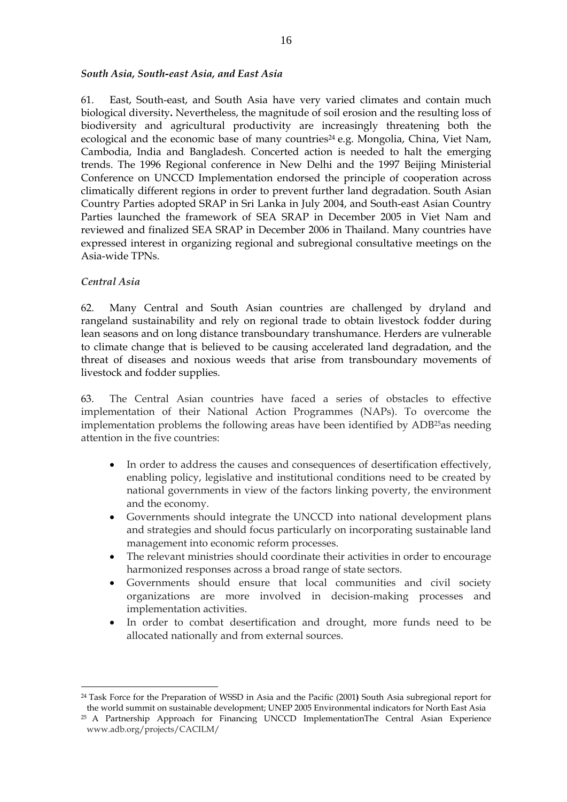#### *South Asia, South-east Asia, and East Asia*

61. East, South-east, and South Asia have very varied climates and contain much biological diversity**.** Nevertheless, the magnitude of soil erosion and the resulting loss of biodiversity and agricultural productivity are increasingly threatening both the ecological and the economic base of many countries<sup>24</sup> e.g. Mongolia, China, Viet Nam, Cambodia, India and Bangladesh. Concerted action is needed to halt the emerging trends. The 1996 Regional conference in New Delhi and the 1997 Beijing Ministerial Conference on UNCCD Implementation endorsed the principle of cooperation across climatically different regions in order to prevent further land degradation. South Asian Country Parties adopted SRAP in Sri Lanka in July 2004, and South-east Asian Country Parties launched the framework of SEA SRAP in December 2005 in Viet Nam and reviewed and finalized SEA SRAP in December 2006 in Thailand. Many countries have expressed interest in organizing regional and subregional consultative meetings on the Asia-wide TPNs.

#### *Central Asia*

1

62. Many Central and South Asian countries are challenged by dryland and rangeland sustainability and rely on regional trade to obtain livestock fodder during lean seasons and on long distance transboundary transhumance. Herders are vulnerable to climate change that is believed to be causing accelerated land degradation, and the threat of diseases and noxious weeds that arise from transboundary movements of livestock and fodder supplies.

63. The Central Asian countries have faced a series of obstacles to effective implementation of their National Action Programmes (NAPs). To overcome the implementation problems the following areas have been identified by ADB25as needing attention in the five countries:

- In order to address the causes and consequences of desertification effectively, enabling policy, legislative and institutional conditions need to be created by national governments in view of the factors linking poverty, the environment and the economy.
- Governments should integrate the UNCCD into national development plans and strategies and should focus particularly on incorporating sustainable land management into economic reform processes.
- The relevant ministries should coordinate their activities in order to encourage harmonized responses across a broad range of state sectors.
- Governments should ensure that local communities and civil society organizations are more involved in decision-making processes and implementation activities.
- In order to combat desertification and drought, more funds need to be allocated nationally and from external sources.

<sup>24</sup> Task Force for the Preparation of WSSD in Asia and the Pacific (2001**)** South Asia subregional report for the world summit on sustainable development; UNEP 2005 Environmental indicators for North East Asia

<sup>25</sup> A Partnership Approach for Financing UNCCD ImplementationThe Central Asian Experience www.adb.org/projects/CACILM/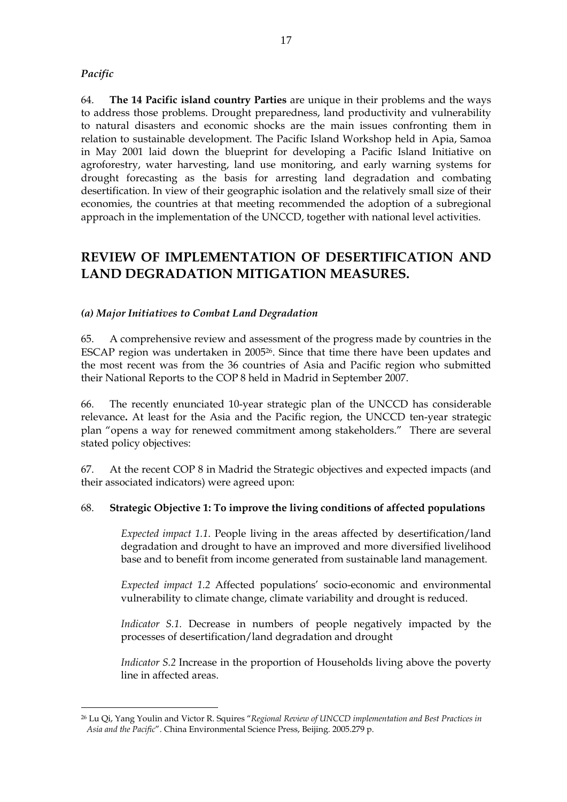#### *Pacific*

<u>.</u>

64. **The 14 Pacific island country Parties** are unique in their problems and the ways to address those problems. Drought preparedness, land productivity and vulnerability to natural disasters and economic shocks are the main issues confronting them in relation to sustainable development. The Pacific Island Workshop held in Apia, Samoa in May 2001 laid down the blueprint for developing a Pacific Island Initiative on agroforestry, water harvesting, land use monitoring, and early warning systems for drought forecasting as the basis for arresting land degradation and combating desertification. In view of their geographic isolation and the relatively small size of their economies, the countries at that meeting recommended the adoption of a subregional approach in the implementation of the UNCCD, together with national level activities.

## **REVIEW OF IMPLEMENTATION OF DESERTIFICATION AND LAND DEGRADATION MITIGATION MEASURES.**

## *(a) Major Initiatives to Combat Land Degradation*

65. A comprehensive review and assessment of the progress made by countries in the ESCAP region was undertaken in 200526. Since that time there have been updates and the most recent was from the 36 countries of Asia and Pacific region who submitted their National Reports to the COP 8 held in Madrid in September 2007.

66. The recently enunciated 10-year strategic plan of the UNCCD has considerable relevance**.** At least for the Asia and the Pacific region, the UNCCD ten-year strategic plan "opens a way for renewed commitment among stakeholders." There are several stated policy objectives:

67. At the recent COP 8 in Madrid the Strategic objectives and expected impacts (and their associated indicators) were agreed upon:

#### 68. **Strategic Objective 1: To improve the living conditions of affected populations**

*Expected impact 1.1*. People living in the areas affected by desertification/land degradation and drought to have an improved and more diversified livelihood base and to benefit from income generated from sustainable land management.

*Expected impact 1.2* Affected populations' socio-economic and environmental vulnerability to climate change, climate variability and drought is reduced.

*Indicator S.1.* Decrease in numbers of people negatively impacted by the processes of desertification/land degradation and drought

*Indicator S.2* Increase in the proportion of Households living above the poverty line in affected areas.

<sup>26</sup> Lu Qi, Yang Youlin and Victor R. Squires "*Regional Review of UNCCD implementation and Best Practices in Asia and the Pacific*". China Environmental Science Press, Beijing. 2005.279 p.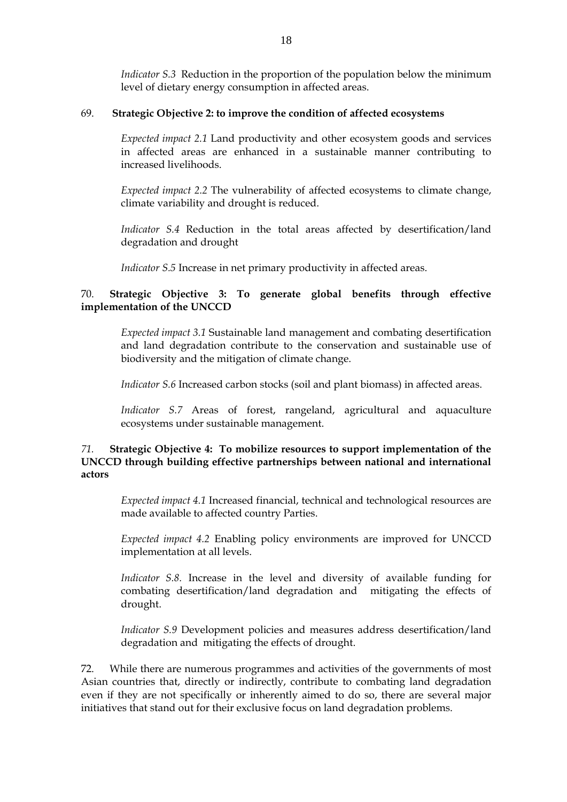*Indicator S.3* Reduction in the proportion of the population below the minimum level of dietary energy consumption in affected areas.

#### 69. **Strategic Objective 2: to improve the condition of affected ecosystems**

*Expected impact 2.1* Land productivity and other ecosystem goods and services in affected areas are enhanced in a sustainable manner contributing to increased livelihoods.

*Expected impact 2.2* The vulnerability of affected ecosystems to climate change, climate variability and drought is reduced.

*Indicator S.4* Reduction in the total areas affected by desertification/land degradation and drought

*Indicator S.5* Increase in net primary productivity in affected areas.

## 70. **Strategic Objective 3: To generate global benefits through effective implementation of the UNCCD**

*Expected impact 3.1* Sustainable land management and combating desertification and land degradation contribute to the conservation and sustainable use of biodiversity and the mitigation of climate change.

*Indicator S.6* Increased carbon stocks (soil and plant biomass) in affected areas.

*Indicator S.7* Areas of forest, rangeland, agricultural and aquaculture ecosystems under sustainable management.

## *71.* **Strategic Objective 4: To mobilize resources to support implementation of the UNCCD through building effective partnerships between national and international actors**

*Expected impact 4.1* Increased financial, technical and technological resources are made available to affected country Parties.

*Expected impact 4.2* Enabling policy environments are improved for UNCCD implementation at all levels.

*Indicator S.8.* Increase in the level and diversity of available funding for combating desertification/land degradation and mitigating the effects of drought.

*Indicator S.9* Development policies and measures address desertification/land degradation and mitigating the effects of drought.

72. While there are numerous programmes and activities of the governments of most Asian countries that, directly or indirectly, contribute to combating land degradation even if they are not specifically or inherently aimed to do so, there are several major initiatives that stand out for their exclusive focus on land degradation problems.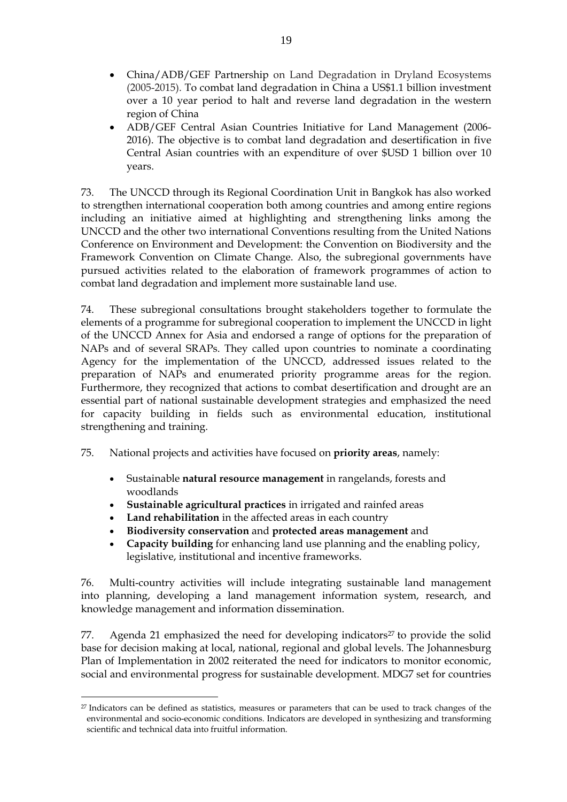- China/ADB/GEF Partnership on Land Degradation in Dryland Ecosystems (2005-2015). To combat land degradation in China a US\$1.1 billion investment over a 10 year period to halt and reverse land degradation in the western region of China
- ADB/GEF Central Asian Countries Initiative for Land Management (2006- 2016). The objective is to combat land degradation and desertification in five Central Asian countries with an expenditure of over \$USD 1 billion over 10 years.

73. The UNCCD through its Regional Coordination Unit in Bangkok has also worked to strengthen international cooperation both among countries and among entire regions including an initiative aimed at highlighting and strengthening links among the UNCCD and the other two international Conventions resulting from the United Nations Conference on Environment and Development: the Convention on Biodiversity and the Framework Convention on Climate Change. Also, the subregional governments have pursued activities related to the elaboration of framework programmes of action to combat land degradation and implement more sustainable land use.

74. These subregional consultations brought stakeholders together to formulate the elements of a programme for subregional cooperation to implement the UNCCD in light of the UNCCD Annex for Asia and endorsed a range of options for the preparation of NAPs and of several SRAPs. They called upon countries to nominate a coordinating Agency for the implementation of the UNCCD, addressed issues related to the preparation of NAPs and enumerated priority programme areas for the region. Furthermore, they recognized that actions to combat desertification and drought are an essential part of national sustainable development strategies and emphasized the need for capacity building in fields such as environmental education, institutional strengthening and training.

75. National projects and activities have focused on **priority areas**, namely:

- Sustainable **natural resource management** in rangelands, forests and woodlands
- **Sustainable agricultural practices** in irrigated and rainfed areas
- **Land rehabilitation** in the affected areas in each country

<u>.</u>

- **Biodiversity conservation** and **protected areas management** and
- **Capacity building** for enhancing land use planning and the enabling policy, legislative, institutional and incentive frameworks.

76. Multi-country activities will include integrating sustainable land management into planning, developing a land management information system, research, and knowledge management and information dissemination.

77. Agenda 21 emphasized the need for developing indicators<sup>27</sup> to provide the solid base for decision making at local, national, regional and global levels. The Johannesburg Plan of Implementation in 2002 reiterated the need for indicators to monitor economic, social and environmental progress for sustainable development. MDG7 set for countries

<sup>27</sup> Indicators can be defined as statistics, measures or parameters that can be used to track changes of the environmental and socio-economic conditions. Indicators are developed in synthesizing and transforming scientific and technical data into fruitful information.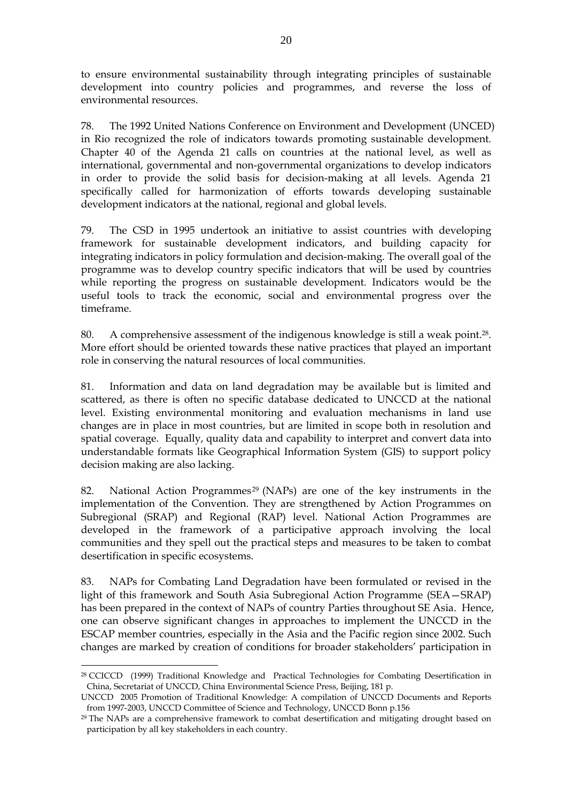to ensure environmental sustainability through integrating principles of sustainable development into country policies and programmes, and reverse the loss of environmental resources.

78. The 1992 United Nations Conference on Environment and Development (UNCED) in Rio recognized the role of indicators towards promoting sustainable development. Chapter 40 of the Agenda 21 calls on countries at the national level, as well as international, governmental and non-governmental organizations to develop indicators in order to provide the solid basis for decision-making at all levels. Agenda 21 specifically called for harmonization of efforts towards developing sustainable development indicators at the national, regional and global levels.

79. The CSD in 1995 undertook an initiative to assist countries with developing framework for sustainable development indicators, and building capacity for integrating indicators in policy formulation and decision-making. The overall goal of the programme was to develop country specific indicators that will be used by countries while reporting the progress on sustainable development. Indicators would be the useful tools to track the economic, social and environmental progress over the timeframe.

80. A comprehensive assessment of the indigenous knowledge is still a weak point.28. More effort should be oriented towards these native practices that played an important role in conserving the natural resources of local communities.

81. Information and data on land degradation may be available but is limited and scattered, as there is often no specific database dedicated to UNCCD at the national level. Existing environmental monitoring and evaluation mechanisms in land use changes are in place in most countries, but are limited in scope both in resolution and spatial coverage. Equally, quality data and capability to interpret and convert data into understandable formats like Geographical Information System (GIS) to support policy decision making are also lacking.

82. National Action Programmes<sup>29</sup> (NAPs) are one of the key instruments in the implementation of the Convention. They are strengthened by Action Programmes on Subregional (SRAP) and Regional (RAP) level. National Action Programmes are developed in the framework of a participative approach involving the local communities and they spell out the practical steps and measures to be taken to combat desertification in specific ecosystems.

83. NAPs for Combating Land Degradation have been formulated or revised in the light of this framework and South Asia Subregional Action Programme (SEA—SRAP) has been prepared in the context of NAPs of country Parties throughout SE Asia. Hence, one can observe significant changes in approaches to implement the UNCCD in the ESCAP member countries, especially in the Asia and the Pacific region since 2002. Such changes are marked by creation of conditions for broader stakeholders' participation in

<sup>1</sup> 28 CCICCD (1999) Traditional Knowledge and Practical Technologies for Combating Desertification in China, Secretariat of UNCCD, China Environmental Science Press, Beijing, 181 p.

UNCCD 2005 Promotion of Traditional Knowledge: A compilation of UNCCD Documents and Reports from 1997-2003, UNCCD Committee of Science and Technology, UNCCD Bonn p.156

<sup>29</sup> The NAPs are a comprehensive framework to combat desertification and mitigating drought based on participation by all key stakeholders in each country.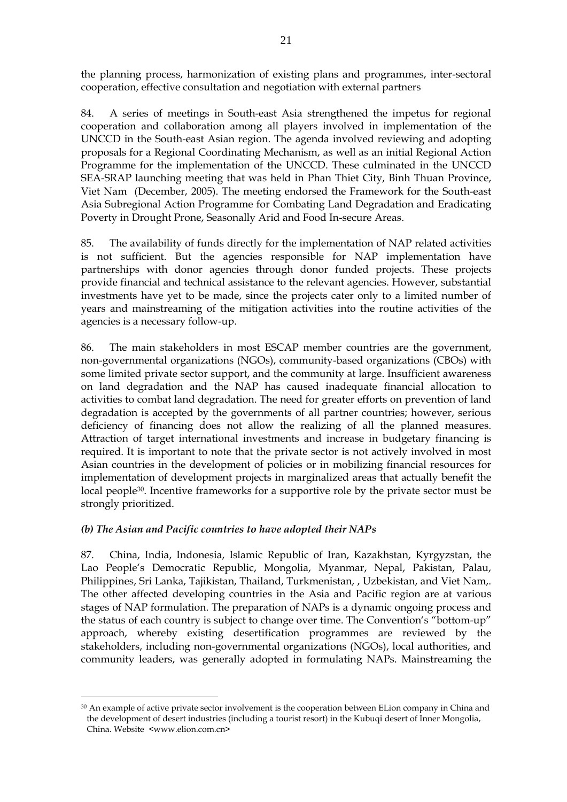the planning process, harmonization of existing plans and programmes, inter-sectoral cooperation, effective consultation and negotiation with external partners

84. A series of meetings in South-east Asia strengthened the impetus for regional cooperation and collaboration among all players involved in implementation of the UNCCD in the South-east Asian region. The agenda involved reviewing and adopting proposals for a Regional Coordinating Mechanism, as well as an initial Regional Action Programme for the implementation of the UNCCD. These culminated in the UNCCD SEA-SRAP launching meeting that was held in Phan Thiet City, Binh Thuan Province, Viet Nam (December, 2005). The meeting endorsed the Framework for the South-east Asia Subregional Action Programme for Combating Land Degradation and Eradicating Poverty in Drought Prone, Seasonally Arid and Food In-secure Areas.

85. The availability of funds directly for the implementation of NAP related activities is not sufficient. But the agencies responsible for NAP implementation have partnerships with donor agencies through donor funded projects. These projects provide financial and technical assistance to the relevant agencies. However, substantial investments have yet to be made, since the projects cater only to a limited number of years and mainstreaming of the mitigation activities into the routine activities of the agencies is a necessary follow-up.

86. The main stakeholders in most ESCAP member countries are the government, non-governmental organizations (NGOs), community-based organizations (CBOs) with some limited private sector support, and the community at large. Insufficient awareness on land degradation and the NAP has caused inadequate financial allocation to activities to combat land degradation. The need for greater efforts on prevention of land degradation is accepted by the governments of all partner countries; however, serious deficiency of financing does not allow the realizing of all the planned measures. Attraction of target international investments and increase in budgetary financing is required. It is important to note that the private sector is not actively involved in most Asian countries in the development of policies or in mobilizing financial resources for implementation of development projects in marginalized areas that actually benefit the local people30. Incentive frameworks for a supportive role by the private sector must be strongly prioritized.

## *(b) The Asian and Pacific countries to have adopted their NAPs*

<u>.</u>

87. China, India, Indonesia, Islamic Republic of Iran, Kazakhstan, Kyrgyzstan, the Lao People's Democratic Republic, Mongolia, Myanmar, Nepal, Pakistan, Palau, Philippines, Sri Lanka, Tajikistan, Thailand, Turkmenistan, , Uzbekistan, and Viet Nam,. The other affected developing countries in the Asia and Pacific region are at various stages of NAP formulation. The preparation of NAPs is a dynamic ongoing process and the status of each country is subject to change over time. The Convention's "bottom-up" approach, whereby existing desertification programmes are reviewed by the stakeholders, including non-governmental organizations (NGOs), local authorities, and community leaders, was generally adopted in formulating NAPs. Mainstreaming the

<sup>30</sup> An example of active private sector involvement is the cooperation between ELion company in China and the development of desert industries (including a tourist resort) in the Kubuqi desert of Inner Mongolia, China. Website <www.elion.com.cn>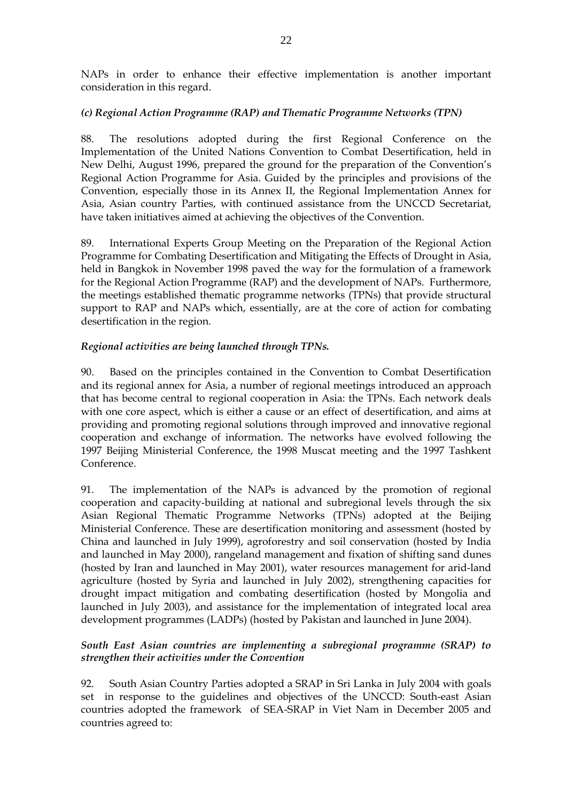NAPs in order to enhance their effective implementation is another important consideration in this regard.

## *(c) Regional Action Programme (RAP) and Thematic Programme Networks (TPN)*

88. The resolutions adopted during the first Regional Conference on the Implementation of the United Nations Convention to Combat Desertification, held in New Delhi, August 1996, prepared the ground for the preparation of the Convention's Regional Action Programme for Asia. Guided by the principles and provisions of the Convention, especially those in its Annex II, the Regional Implementation Annex for Asia, Asian country Parties, with continued assistance from the UNCCD Secretariat, have taken initiatives aimed at achieving the objectives of the Convention.

89. International Experts Group Meeting on the Preparation of the Regional Action Programme for Combating Desertification and Mitigating the Effects of Drought in Asia, held in Bangkok in November 1998 paved the way for the formulation of a framework for the Regional Action Programme (RAP) and the development of NAPs. Furthermore, the meetings established thematic programme networks (TPNs) that provide structural support to RAP and NAPs which, essentially, are at the core of action for combating desertification in the region.

## *Regional activities are being launched through TPNs.*

90. Based on the principles contained in the Convention to Combat Desertification and its regional annex for Asia, a number of regional meetings introduced an approach that has become central to regional cooperation in Asia: the TPNs. Each network deals with one core aspect, which is either a cause or an effect of desertification, and aims at providing and promoting regional solutions through improved and innovative regional cooperation and exchange of information. The networks have evolved following the 1997 Beijing Ministerial Conference, the 1998 Muscat meeting and the 1997 Tashkent Conference.

91. The implementation of the NAPs is advanced by the promotion of regional cooperation and capacity-building at national and subregional levels through the six Asian Regional Thematic Programme Networks (TPNs) adopted at the Beijing Ministerial Conference. These are desertification monitoring and assessment (hosted by China and launched in July 1999), agroforestry and soil conservation (hosted by India and launched in May 2000), rangeland management and fixation of shifting sand dunes (hosted by Iran and launched in May 2001), water resources management for arid-land agriculture (hosted by Syria and launched in July 2002), strengthening capacities for drought impact mitigation and combating desertification (hosted by Mongolia and launched in July 2003), and assistance for the implementation of integrated local area development programmes (LADPs) (hosted by Pakistan and launched in June 2004).

## *South East Asian countries are implementing a subregional programme (SRAP) to strengthen their activities under the Convention*

92. South Asian Country Parties adopted a SRAP in Sri Lanka in July 2004 with goals set in response to the guidelines and objectives of the UNCCD: South-east Asian countries adopted the framework of SEA-SRAP in Viet Nam in December 2005 and countries agreed to: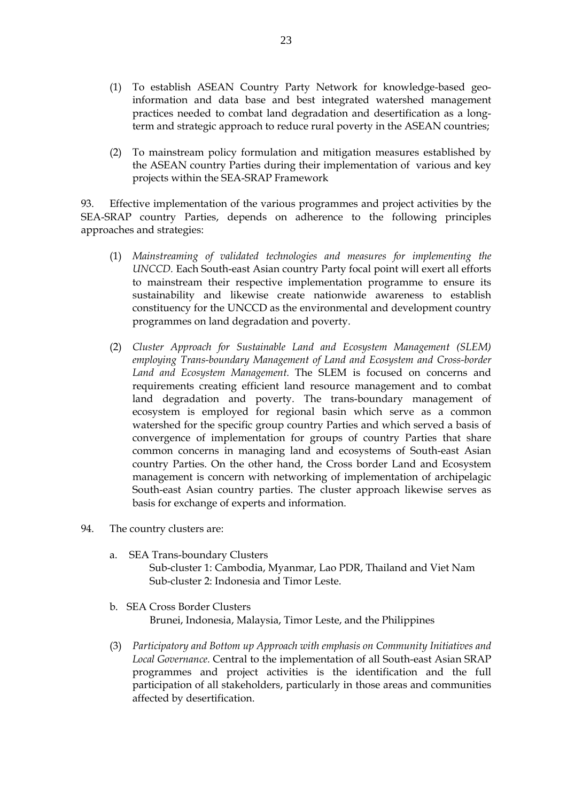- (1) To establish ASEAN Country Party Network for knowledge-based geoinformation and data base and best integrated watershed management practices needed to combat land degradation and desertification as a longterm and strategic approach to reduce rural poverty in the ASEAN countries;
- (2) To mainstream policy formulation and mitigation measures established by the ASEAN country Parties during their implementation of various and key projects within the SEA-SRAP Framework

93. Effective implementation of the various programmes and project activities by the SEA-SRAP country Parties, depends on adherence to the following principles approaches and strategies:

- (1) *Mainstreaming of validated technologies and measures for implementing the UNCCD.* Each South-east Asian country Party focal point will exert all efforts to mainstream their respective implementation programme to ensure its sustainability and likewise create nationwide awareness to establish constituency for the UNCCD as the environmental and development country programmes on land degradation and poverty.
- (2) *Cluster Approach for Sustainable Land and Ecosystem Management (SLEM) employing Trans-boundary Management of Land and Ecosystem and Cross-border Land and Ecosystem Management.* The SLEM is focused on concerns and requirements creating efficient land resource management and to combat land degradation and poverty. The trans-boundary management of ecosystem is employed for regional basin which serve as a common watershed for the specific group country Parties and which served a basis of convergence of implementation for groups of country Parties that share common concerns in managing land and ecosystems of South-east Asian country Parties. On the other hand, the Cross border Land and Ecosystem management is concern with networking of implementation of archipelagic South-east Asian country parties. The cluster approach likewise serves as basis for exchange of experts and information.
- 94. The country clusters are:
	- a. SEA Trans-boundary Clusters Sub-cluster 1: Cambodia, Myanmar, Lao PDR, Thailand and Viet Nam Sub-cluster 2: Indonesia and Timor Leste.
	- b. SEA Cross Border Clusters Brunei, Indonesia, Malaysia, Timor Leste, and the Philippines
	- (3) *Participatory and Bottom up Approach with emphasis on Community Initiatives and Local Governance.* Central to the implementation of all South-east Asian SRAP programmes and project activities is the identification and the full participation of all stakeholders, particularly in those areas and communities affected by desertification.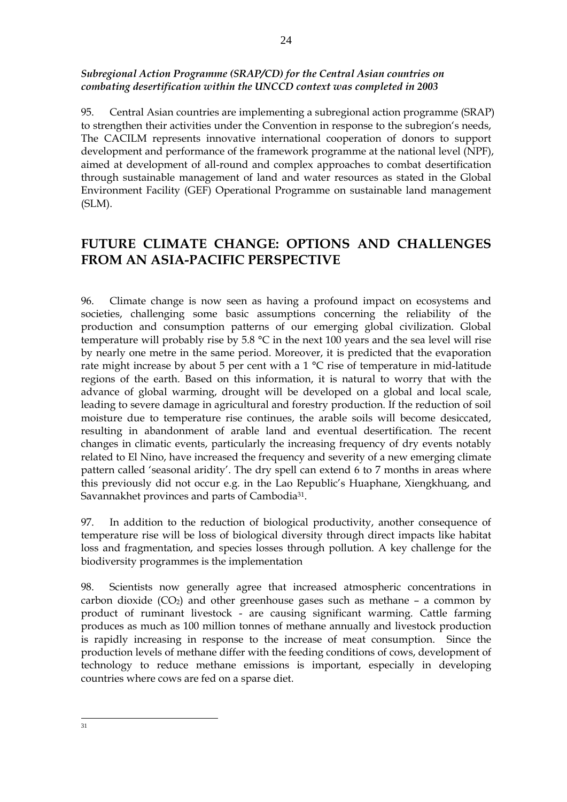## *Subregional Action Programme (SRAP/CD) for the Central Asian countries on combating desertification within the UNCCD context was completed in 2003*

95. Central Asian countries are implementing a subregional action programme (SRAP) to strengthen their activities under the Convention in response to the subregion's needs, The CACILM represents innovative international cooperation of donors to support development and performance of the framework programme at the national level (NPF), aimed at development of all-round and complex approaches to combat desertification through sustainable management of land and water resources as stated in the Global Environment Facility (GEF) Operational Programme on sustainable land management (SLM).

# **FUTURE CLIMATE CHANGE: OPTIONS AND CHALLENGES FROM AN ASIA-PACIFIC PERSPECTIVE**

96. Climate change is now seen as having a profound impact on ecosystems and societies, challenging some basic assumptions concerning the reliability of the production and consumption patterns of our emerging global civilization. Global temperature will probably rise by 5.8 °C in the next 100 years and the sea level will rise by nearly one metre in the same period. Moreover, it is predicted that the evaporation rate might increase by about 5 per cent with a 1 °C rise of temperature in mid-latitude regions of the earth. Based on this information, it is natural to worry that with the advance of global warming, drought will be developed on a global and local scale, leading to severe damage in agricultural and forestry production. If the reduction of soil moisture due to temperature rise continues, the arable soils will become desiccated, resulting in abandonment of arable land and eventual desertification. The recent changes in climatic events, particularly the increasing frequency of dry events notably related to El Nino, have increased the frequency and severity of a new emerging climate pattern called 'seasonal aridity'. The dry spell can extend 6 to 7 months in areas where this previously did not occur e.g. in the Lao Republic's Huaphane, Xiengkhuang, and Savannakhet provinces and parts of Cambodia31.

97. In addition to the reduction of biological productivity, another consequence of temperature rise will be loss of biological diversity through direct impacts like habitat loss and fragmentation, and species losses through pollution. A key challenge for the biodiversity programmes is the implementation

98. Scientists now generally agree that increased atmospheric concentrations in carbon dioxide  $(CO_2)$  and other greenhouse gases such as methane – a common by product of ruminant livestock - are causing significant warming. Cattle farming produces as much as 100 million tonnes of methane annually and livestock production is rapidly increasing in response to the increase of meat consumption. Since the production levels of methane differ with the feeding conditions of cows, development of technology to reduce methane emissions is important, especially in developing countries where cows are fed on a sparse diet.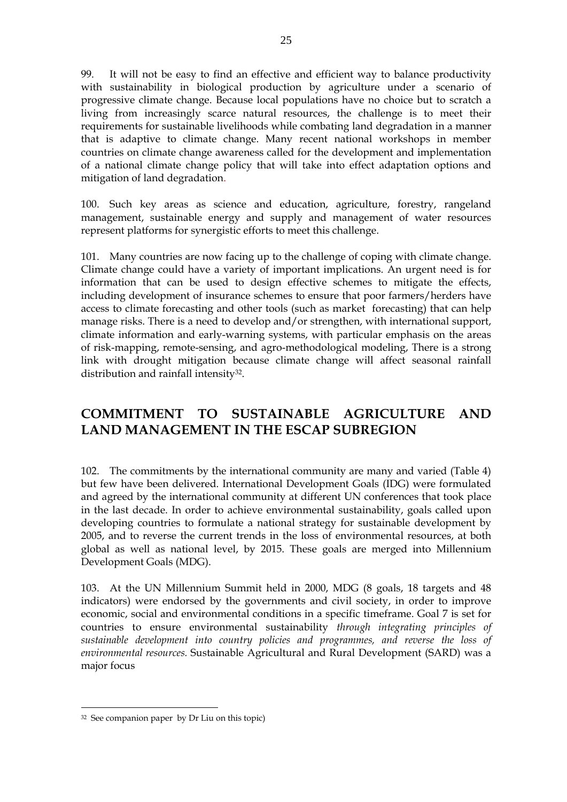99. It will not be easy to find an effective and efficient way to balance productivity with sustainability in biological production by agriculture under a scenario of progressive climate change. Because local populations have no choice but to scratch a living from increasingly scarce natural resources, the challenge is to meet their requirements for sustainable livelihoods while combating land degradation in a manner that is adaptive to climate change. Many recent national workshops in member countries on climate change awareness called for the development and implementation of a national climate change policy that will take into effect adaptation options and mitigation of land degradation.

100. Such key areas as science and education, agriculture, forestry, rangeland management, sustainable energy and supply and management of water resources represent platforms for synergistic efforts to meet this challenge.

101. Many countries are now facing up to the challenge of coping with climate change. Climate change could have a variety of important implications. An urgent need is for information that can be used to design effective schemes to mitigate the effects, including development of insurance schemes to ensure that poor farmers/herders have access to climate forecasting and other tools (such as market forecasting) that can help manage risks. There is a need to develop and/or strengthen, with international support, climate information and early-warning systems, with particular emphasis on the areas of risk-mapping, remote-sensing, and agro-methodological modeling, There is a strong link with drought mitigation because climate change will affect seasonal rainfall distribution and rainfall intensity<sup>32</sup>.

# **COMMITMENT TO SUSTAINABLE AGRICULTURE AND LAND MANAGEMENT IN THE ESCAP SUBREGION**

102. The commitments by the international community are many and varied (Table 4) but few have been delivered. International Development Goals (IDG) were formulated and agreed by the international community at different UN conferences that took place in the last decade. In order to achieve environmental sustainability, goals called upon developing countries to formulate a national strategy for sustainable development by 2005, and to reverse the current trends in the loss of environmental resources, at both global as well as national level, by 2015. These goals are merged into Millennium Development Goals (MDG).

103. At the UN Millennium Summit held in 2000, MDG (8 goals, 18 targets and 48 indicators) were endorsed by the governments and civil society, in order to improve economic, social and environmental conditions in a specific timeframe. Goal 7 is set for countries to ensure environmental sustainability *through integrating principles of sustainable development into country policies and programmes, and reverse the loss of environmental resources.* Sustainable Agricultural and Rural Development (SARD) was a major focus

1

<sup>32</sup> See companion paper by Dr Liu on this topic)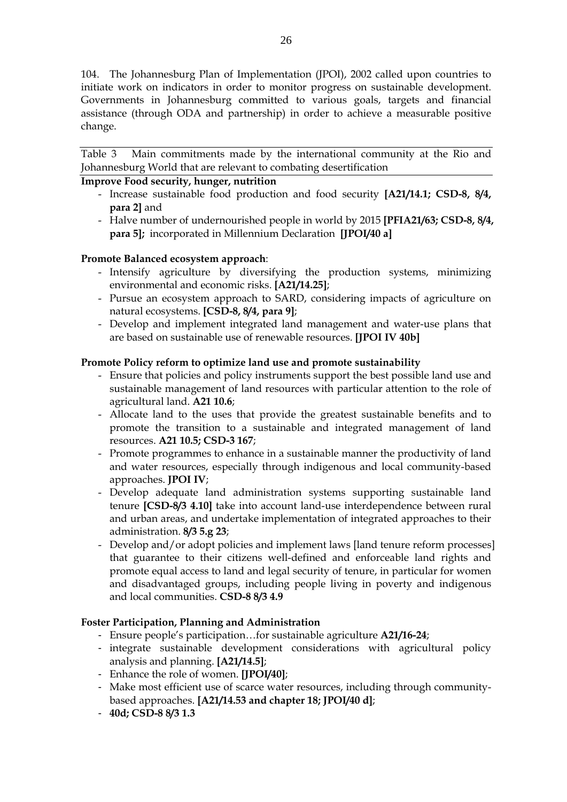104. The Johannesburg Plan of Implementation (JPOI), 2002 called upon countries to initiate work on indicators in order to monitor progress on sustainable development. Governments in Johannesburg committed to various goals, targets and financial assistance (through ODA and partnership) in order to achieve a measurable positive change.

Table 3 Main commitments made by the international community at the Rio and Johannesburg World that are relevant to combating desertification

## **Improve Food security, hunger, nutrition**

- Increase sustainable food production and food security **[A21/14.1; CSD-8, 8/4, para 2]** and
- Halve number of undernourished people in world by 2015 **[PFIA21/63; CSD-8, 8/4, para 5];** incorporated in Millennium Declaration **[JPOI/40 a]**

## **Promote Balanced ecosystem approach**:

- Intensify agriculture by diversifying the production systems, minimizing environmental and economic risks. **[A21/14.25]**;
- Pursue an ecosystem approach to SARD, considering impacts of agriculture on natural ecosystems. **[CSD-8, 8/4, para 9]**;
- Develop and implement integrated land management and water-use plans that are based on sustainable use of renewable resources. **[JPOI IV 40b]**

## **Promote Policy reform to optimize land use and promote sustainability**

- Ensure that policies and policy instruments support the best possible land use and sustainable management of land resources with particular attention to the role of agricultural land. **A21 10.6**;
- Allocate land to the uses that provide the greatest sustainable benefits and to promote the transition to a sustainable and integrated management of land resources. **A21 10.5; CSD-3 167**;
- Promote programmes to enhance in a sustainable manner the productivity of land and water resources, especially through indigenous and local community-based approaches. **JPOI IV**;
- Develop adequate land administration systems supporting sustainable land tenure **[CSD-8/3 4.10]** take into account land-use interdependence between rural and urban areas, and undertake implementation of integrated approaches to their administration. **8/3 5.g 23**;
- Develop and/or adopt policies and implement laws [land tenure reform processes] that guarantee to their citizens well-defined and enforceable land rights and promote equal access to land and legal security of tenure, in particular for women and disadvantaged groups, including people living in poverty and indigenous and local communities. **CSD-8 8/3 4.9**

## **Foster Participation, Planning and Administration**

- Ensure people's participation…for sustainable agriculture **A21/16-24**;
- integrate sustainable development considerations with agricultural policy analysis and planning. **[A21/14.5]**;
- Enhance the role of women. **[JPOI/40]**;
- Make most efficient use of scarce water resources, including through communitybased approaches. **[A21/14.53 and chapter 18; JPOI/40 d]**;
- **40d; CSD-8 8/3 1.3**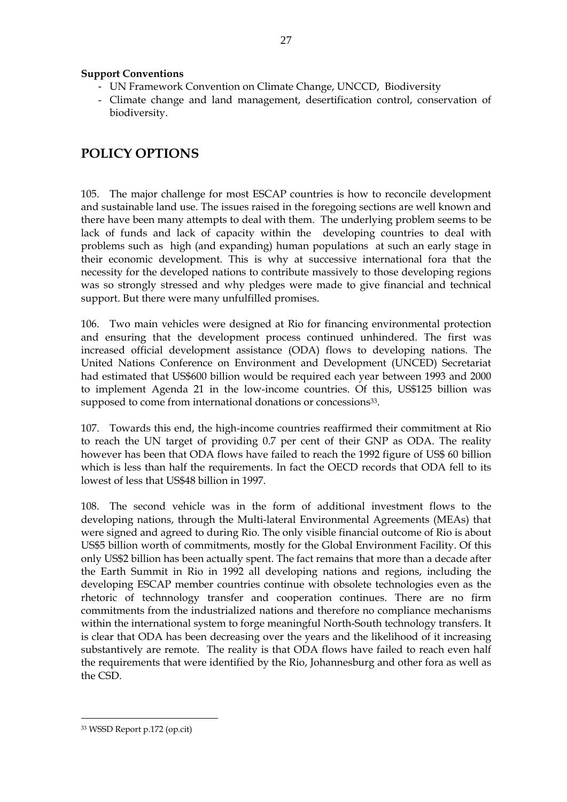#### **Support Conventions**

- UN Framework Convention on Climate Change, UNCCD, Biodiversity
- Climate change and land management, desertification control, conservation of biodiversity.

# **POLICY OPTIONS**

105. The major challenge for most ESCAP countries is how to reconcile development and sustainable land use. The issues raised in the foregoing sections are well known and there have been many attempts to deal with them. The underlying problem seems to be lack of funds and lack of capacity within the developing countries to deal with problems such as high (and expanding) human populations at such an early stage in their economic development. This is why at successive international fora that the necessity for the developed nations to contribute massively to those developing regions was so strongly stressed and why pledges were made to give financial and technical support. But there were many unfulfilled promises.

106. Two main vehicles were designed at Rio for financing environmental protection and ensuring that the development process continued unhindered. The first was increased official development assistance (ODA) flows to developing nations. The United Nations Conference on Environment and Development (UNCED) Secretariat had estimated that US\$600 billion would be required each year between 1993 and 2000 to implement Agenda 21 in the low-income countries. Of this, US\$125 billion was supposed to come from international donations or concessions<sup>33</sup>.

107. Towards this end, the high-income countries reaffirmed their commitment at Rio to reach the UN target of providing 0.7 per cent of their GNP as ODA. The reality however has been that ODA flows have failed to reach the 1992 figure of US\$ 60 billion which is less than half the requirements. In fact the OECD records that ODA fell to its lowest of less that US\$48 billion in 1997.

108. The second vehicle was in the form of additional investment flows to the developing nations, through the Multi-lateral Environmental Agreements (MEAs) that were signed and agreed to during Rio. The only visible financial outcome of Rio is about US\$5 billion worth of commitments, mostly for the Global Environment Facility. Of this only US\$2 billion has been actually spent. The fact remains that more than a decade after the Earth Summit in Rio in 1992 all developing nations and regions, including the developing ESCAP member countries continue with obsolete technologies even as the rhetoric of technnology transfer and cooperation continues. There are no firm commitments from the industrialized nations and therefore no compliance mechanisms within the international system to forge meaningful North-South technology transfers. It is clear that ODA has been decreasing over the years and the likelihood of it increasing substantively are remote. The reality is that ODA flows have failed to reach even half the requirements that were identified by the Rio, Johannesburg and other fora as well as the CSD.

1

<sup>33</sup> WSSD Report p.172 (op.cit)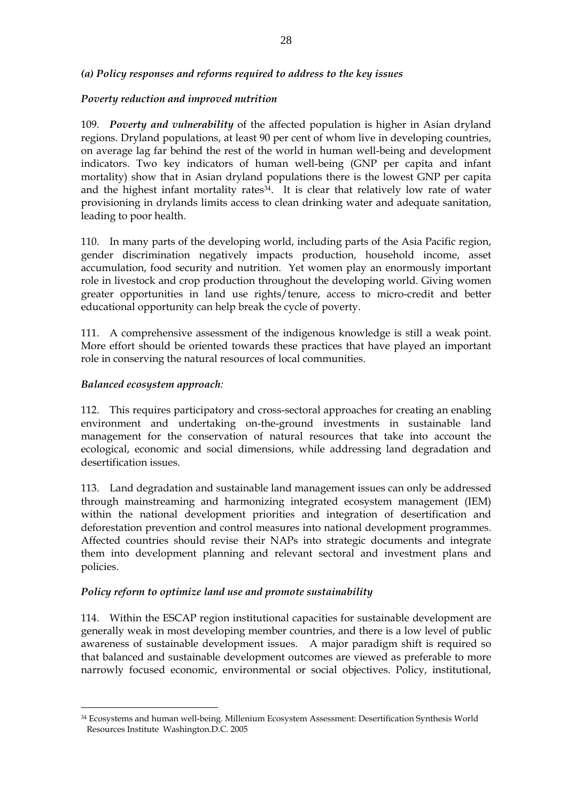#### *(a) Policy responses and reforms required to address to the key issues*

#### *Poverty reduction and improved nutrition*

109. *Poverty and vulnerability* of the affected population is higher in Asian dryland regions. Dryland populations, at least 90 per cent of whom live in developing countries, on average lag far behind the rest of the world in human well-being and development indicators. Two key indicators of human well-being (GNP per capita and infant mortality) show that in Asian dryland populations there is the lowest GNP per capita and the highest infant mortality rates<sup>34</sup>. It is clear that relatively low rate of water provisioning in drylands limits access to clean drinking water and adequate sanitation, leading to poor health.

110. In many parts of the developing world, including parts of the Asia Pacific region, gender discrimination negatively impacts production, household income, asset accumulation, food security and nutrition. Yet women play an enormously important role in livestock and crop production throughout the developing world. Giving women greater opportunities in land use rights/tenure, access to micro-credit and better educational opportunity can help break the cycle of poverty.

111. A comprehensive assessment of the indigenous knowledge is still a weak point. More effort should be oriented towards these practices that have played an important role in conserving the natural resources of local communities.

## *Balanced ecosystem approach:*

<u>.</u>

112. This requires participatory and cross-sectoral approaches for creating an enabling environment and undertaking on-the-ground investments in sustainable land management for the conservation of natural resources that take into account the ecological, economic and social dimensions, while addressing land degradation and desertification issues.

113. Land degradation and sustainable land management issues can only be addressed through mainstreaming and harmonizing integrated ecosystem management (IEM) within the national development priorities and integration of desertification and deforestation prevention and control measures into national development programmes. Affected countries should revise their NAPs into strategic documents and integrate them into development planning and relevant sectoral and investment plans and policies.

#### *Policy reform to optimize land use and promote sustainability*

114. Within the ESCAP region institutional capacities for sustainable development are generally weak in most developing member countries, and there is a low level of public awareness of sustainable development issues. A major paradigm shift is required so that balanced and sustainable development outcomes are viewed as preferable to more narrowly focused economic, environmental or social objectives. Policy, institutional,

<sup>34</sup> Ecosystems and human well-being. Millenium Ecosystem Assessment: Desertification Synthesis World Resources Institute Washington.D.C. 2005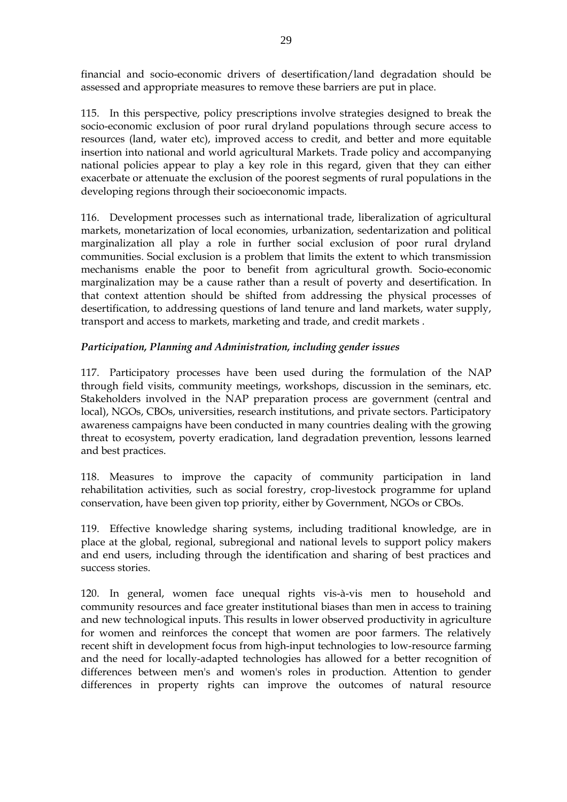financial and socio-economic drivers of desertification/land degradation should be assessed and appropriate measures to remove these barriers are put in place.

115. In this perspective, policy prescriptions involve strategies designed to break the socio-economic exclusion of poor rural dryland populations through secure access to resources (land, water etc), improved access to credit, and better and more equitable insertion into national and world agricultural Markets. Trade policy and accompanying national policies appear to play a key role in this regard, given that they can either exacerbate or attenuate the exclusion of the poorest segments of rural populations in the developing regions through their socioeconomic impacts.

116. Development processes such as international trade, liberalization of agricultural markets, monetarization of local economies, urbanization, sedentarization and political marginalization all play a role in further social exclusion of poor rural dryland communities. Social exclusion is a problem that limits the extent to which transmission mechanisms enable the poor to benefit from agricultural growth. Socio-economic marginalization may be a cause rather than a result of poverty and desertification. In that context attention should be shifted from addressing the physical processes of desertification, to addressing questions of land tenure and land markets, water supply, transport and access to markets, marketing and trade, and credit markets .

## *Participation, Planning and Administration, including gender issues*

117. Participatory processes have been used during the formulation of the NAP through field visits, community meetings, workshops, discussion in the seminars, etc. Stakeholders involved in the NAP preparation process are government (central and local), NGOs, CBOs, universities, research institutions, and private sectors. Participatory awareness campaigns have been conducted in many countries dealing with the growing threat to ecosystem, poverty eradication, land degradation prevention, lessons learned and best practices.

118. Measures to improve the capacity of community participation in land rehabilitation activities, such as social forestry, crop-livestock programme for upland conservation, have been given top priority, either by Government, NGOs or CBOs.

119. Effective knowledge sharing systems, including traditional knowledge, are in place at the global, regional, subregional and national levels to support policy makers and end users, including through the identification and sharing of best practices and success stories.

120. In general, women face unequal rights vis-à-vis men to household and community resources and face greater institutional biases than men in access to training and new technological inputs. This results in lower observed productivity in agriculture for women and reinforces the concept that women are poor farmers. The relatively recent shift in development focus from high-input technologies to low-resource farming and the need for locally-adapted technologies has allowed for a better recognition of differences between men's and women's roles in production. Attention to gender differences in property rights can improve the outcomes of natural resource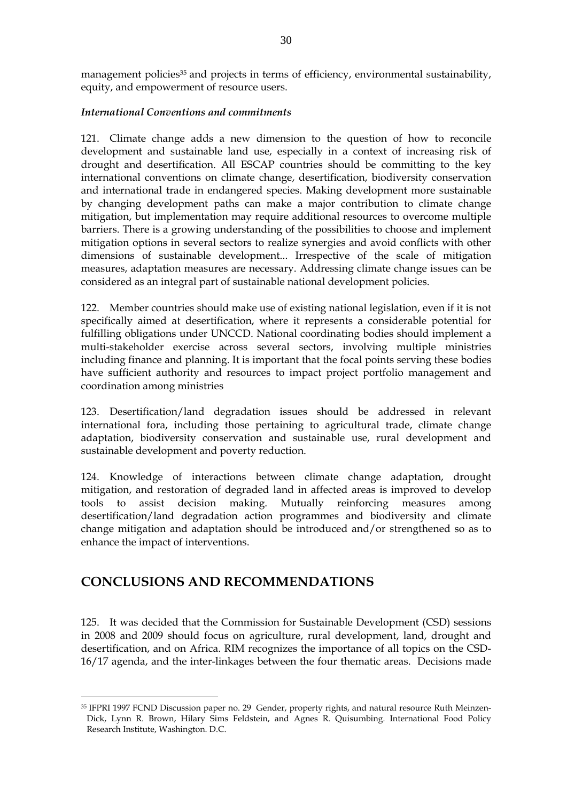management policies<sup>35</sup> and projects in terms of efficiency, environmental sustainability, equity, and empowerment of resource users.

#### *International Conventions and commitments*

121. Climate change adds a new dimension to the question of how to reconcile development and sustainable land use, especially in a context of increasing risk of drought and desertification. All ESCAP countries should be committing to the key international conventions on climate change, desertification, biodiversity conservation and international trade in endangered species. Making development more sustainable by changing development paths can make a major contribution to climate change mitigation, but implementation may require additional resources to overcome multiple barriers. There is a growing understanding of the possibilities to choose and implement mitigation options in several sectors to realize synergies and avoid conflicts with other dimensions of sustainable development... Irrespective of the scale of mitigation measures, adaptation measures are necessary. Addressing climate change issues can be considered as an integral part of sustainable national development policies.

122. Member countries should make use of existing national legislation, even if it is not specifically aimed at desertification, where it represents a considerable potential for fulfilling obligations under UNCCD. National coordinating bodies should implement a multi-stakeholder exercise across several sectors, involving multiple ministries including finance and planning. It is important that the focal points serving these bodies have sufficient authority and resources to impact project portfolio management and coordination among ministries

123. Desertification/land degradation issues should be addressed in relevant international fora, including those pertaining to agricultural trade, climate change adaptation, biodiversity conservation and sustainable use, rural development and sustainable development and poverty reduction.

124. Knowledge of interactions between climate change adaptation, drought mitigation, and restoration of degraded land in affected areas is improved to develop tools to assist decision making. Mutually reinforcing measures among desertification/land degradation action programmes and biodiversity and climate change mitigation and adaptation should be introduced and/or strengthened so as to enhance the impact of interventions.

# **CONCLUSIONS AND RECOMMENDATIONS**

<u>.</u>

125. It was decided that the Commission for Sustainable Development (CSD) sessions in 2008 and 2009 should focus on agriculture, rural development, land, drought and desertification, and on Africa. RIM recognizes the importance of all topics on the CSD-16/17 agenda, and the inter-linkages between the four thematic areas. Decisions made

<sup>35</sup> IFPRI 1997 FCND Discussion paper no. 29 Gender, property rights, and natural resource Ruth Meinzen-Dick, Lynn R. Brown, Hilary Sims Feldstein, and Agnes R. Quisumbing. International Food Policy Research Institute, Washington. D.C.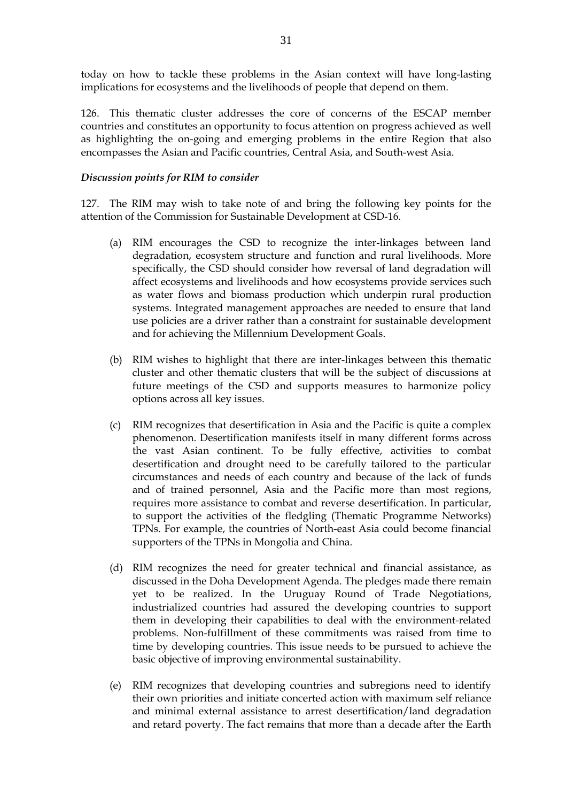today on how to tackle these problems in the Asian context will have long-lasting implications for ecosystems and the livelihoods of people that depend on them.

126. This thematic cluster addresses the core of concerns of the ESCAP member countries and constitutes an opportunity to focus attention on progress achieved as well as highlighting the on-going and emerging problems in the entire Region that also encompasses the Asian and Pacific countries, Central Asia, and South-west Asia.

#### *Discussion points for RIM to consider*

127. The RIM may wish to take note of and bring the following key points for the attention of the Commission for Sustainable Development at CSD-16.

- (a) RIM encourages the CSD to recognize the inter-linkages between land degradation, ecosystem structure and function and rural livelihoods. More specifically, the CSD should consider how reversal of land degradation will affect ecosystems and livelihoods and how ecosystems provide services such as water flows and biomass production which underpin rural production systems. Integrated management approaches are needed to ensure that land use policies are a driver rather than a constraint for sustainable development and for achieving the Millennium Development Goals.
- (b) RIM wishes to highlight that there are inter-linkages between this thematic cluster and other thematic clusters that will be the subject of discussions at future meetings of the CSD and supports measures to harmonize policy options across all key issues.
- (c) RIM recognizes that desertification in Asia and the Pacific is quite a complex phenomenon. Desertification manifests itself in many different forms across the vast Asian continent. To be fully effective, activities to combat desertification and drought need to be carefully tailored to the particular circumstances and needs of each country and because of the lack of funds and of trained personnel, Asia and the Pacific more than most regions, requires more assistance to combat and reverse desertification. In particular, to support the activities of the fledgling (Thematic Programme Networks) TPNs. For example, the countries of North-east Asia could become financial supporters of the TPNs in Mongolia and China.
- (d) RIM recognizes the need for greater technical and financial assistance, as discussed in the Doha Development Agenda. The pledges made there remain yet to be realized. In the Uruguay Round of Trade Negotiations, industrialized countries had assured the developing countries to support them in developing their capabilities to deal with the environment-related problems. Non-fulfillment of these commitments was raised from time to time by developing countries. This issue needs to be pursued to achieve the basic objective of improving environmental sustainability.
- (e) RIM recognizes that developing countries and subregions need to identify their own priorities and initiate concerted action with maximum self reliance and minimal external assistance to arrest desertification/land degradation and retard poverty. The fact remains that more than a decade after the Earth